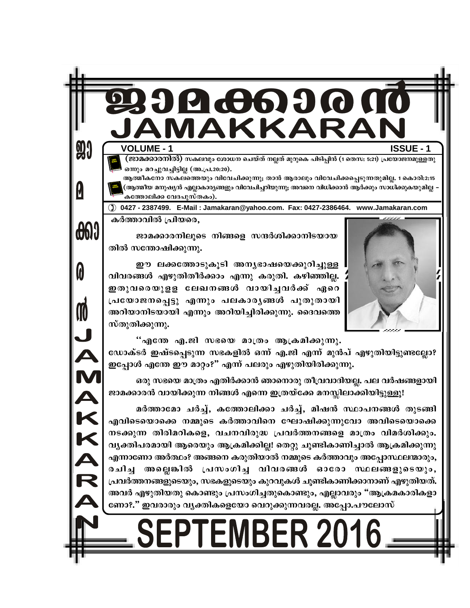**VOLUME - 1** 

**9)** 

L

**600** 

6

JAMAKKAR

**ISSUE - 1** 

(ജാമക്കാരനിൽ) സകലവും ശോധന ചെയ്ത് നല്ലത് മുറുകെ പിടിപ്പിൻ (1 തെസ: 5:21) പ്രയോജനമുള്ളതു ഒന്നും മറച്ചുവച്ചിട്ടില്ല (അ.പ്ര.20:20).

9669

IAKKA

ആത്മീകനോ സകലത്തെയും വിവേചിക്കുന്നു; താൻ ആരാലും വിവേചിക്കപ്പെടുന്നതുമില്ല. 1 കൊരി:2:15 (ആത്മീയ മനുഷ്യൻ എല്ലാകാര്യങ്ങളും വിവേചിച്ചറിയുന്നു; അവനെ വിധിക്കാൻ ആർക്കും സാധിക്കുകയുമില്ല *-*കത്തോലിക്ക വേദപുസ്തകം).

(1) 0427 - 2387499. E-Mail: Jamakaran@yahoo.com. Fax: 0427-2386464. www.Jamakaran.com

കർത്താവിൽ പ്രിയരെ,

ജാമക്കാരനിലൂടെ നിങ്ങളെ സന്ദർശിക്കാനിടയായ തിൽ സന്തോഷിക്കുന്നു.



ഈ ലക്കത്തോടുകൂടി അനൃഭാഷയെക്കുറിച്ചുള്ള വിവരങ്ങൾ എഴുതിതീർക്കാം എന്നു കരുതി. കഴിഞ്ഞില്ല. ഇതുവരെയുളള ലേഖനങ്ങൾ വായിച്ചവർക്ക് ഏറെ പ്രയോജനപ്പെട്ടു എന്നും പലകാരൃങ്ങൾ പുതുതായി അറിയാനിടയായി എന്നും അറിയിച്ചിരിക്കുന്നു. ദൈവത്തെ സ്തുതിക്കുന്നു.

"എന്തേ എ.ജി സഭയെ മാത്രം ആക്രമിക്കുന്നു.

ഡോക്ടർ ഇഷ്ടപ്പെടുന്ന സഭകളിൽ ഒന്ന് എ.ജി എന്ന് മുൻപ് എഴുതിയിട്ടുണ്ടല്ലോ? ഇപ്പോൾ എന്തേ ഈ മാറ്റാ?" എന്ന് പലരും എഴുതിയിരിക്കുന്നു.

ഒരു സഭയെ മാത്രം എതിർക്കാൻ ഞാനൊരു തീവ്രവാദിയല്ല. പല വർഷങ്ങളായി ജാമക്കാരൻ വായിക്കുന്ന നിങ്ങൾ എന്നെ ഇത്രയ്ക്കേ മനസ്സിലാക്കിയിട്ടുള്ളൂ!

മർത്താമോ ചർച്ച്, കത്തോലിക്കാ ചർച്ച്, മിഷൻ സ്ഥാപനങ്ങൾ തുടങ്ങി എവിടെയൊക്കെ നമ്മുടെ കർത്താവിനെ ഘോഷിക്കുന്നുവോ അവിടെയൊക്കെ നടക്കുന്ന തിരിമറികളെ, വചനവിരുദ്ധ പ്രവർത്തനങ്ങളെ മാത്രം വിമർശിക്കും. വൃക്തിപരമായി ആരെയും ആക്രമിക്കില്ല! തെറ്റു ചൂണ്ടികാണിച്ചാൽ ആക്രമിക്കുന്നു എന്നാണോ അർത്ഥം? അങ്ങനെ കരുതിയാൽ നമ്മുടെ കർത്താവും അപ്പോസ്ഥലന്മാരും, രചിച്ച അല്ലെങ്കിൽ പ്രസംഗിച്ച വിവരങ്ങൾ ഓരോ സ്ഥലങ്ങളുടെയും, പ്രവർത്തനങ്ങളുടെയും, സഭകളുടെയും കുറവുകൾ ചൂണ്ടികാണിക്കാനാണ് എഴുതിയത്. അവർ എഴുതിയതു കൊണ്ടും പ്രസംഗിച്ചതുകൊണ്ടും, എല്ലാവരും "ആക്രമകാരികളാ ണോ?." ഇവരാരും വൃക്തികളെയോ വെറുക്കുന്നവരല്ല. അപ്പോ.പൗലോസ്

**SEPTEMBER 2016**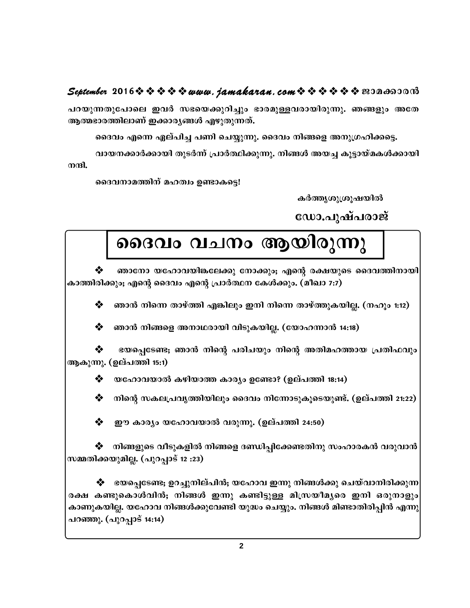## *September* **2016☆☆☆☆☆www.jamakaran.com☆☆☆☆☆☆** 2016

പറയുന്നതുപോലെ ഇവർ സഭയെക്കുറിച്ചും ഭാരമുള്ളവരായിരുന്നു. ഞങ്ങളും അതേ ആത്മഭാരത്തിലാണ് ഇക്കാരൃങ്ങൾ എഴുതുന്നത്.

ദൈവം എന്നെ ഏല്പിച്ച പണി ചെയ്യുന്നു. ദൈവം നിങ്ങളെ അനുഗ്രഹിക്കട്ടെ.

വായനക്കാർക്കായി തുടർന്ന് പ്രാർത്ഥിക്കുന്നു. നിങ്ങൾ അയച കൂടായ്മകൾക്കായി

 $m$ .

ദൈവനാമത്തിന് മഹത്വം ഉണ്ടാക**ട്ടെ!** 

കർത്തൃശുശ്രൂഷയിൽ

ഡോ.പുഷ്പരാജ്

# **ടൈവം വചനം ആയിരുന്നു**

ഞാനോ യഹോവയിങ്കലേക്കു നോക്കും<del>,</del> എന്റെ രക്ഷയുടെ ദൈവത്തിനായി കാത്തിരിക്കും; എന്റെ ദൈവം എന്റെ പ്രാർത്ഥന കേൾക്കും. (മീഖാ 7:7)

ഞാൻ നിന്നെ താഴ്ത്തി എങ്കിലും ഇനി നിന്നെ താഴ്ത്തുകയില്ല. (നഹും 1<del>:</del>12)

ഞാൻ നിങ്ങളെ അനാഥരായി വിടുകയില്ല. (യോഹന്നാൻ 14:18)

❖ ഭയപെടേണ്ട; ഞാൻ നിന്റെ പരിചയും നിന്റെ അതിമഹത്തായ പ്രതിഫവും ആകുന്നു. (ഉല്പത്തി <del>15:1</del>)

❖ യഹോവയാൽ കഴിയാത്ത കാര്യം ഉണ്ടോ? (ഉല്പത്തി 18:14)

്നിന്റെ സകലപ്രവൃത്തിയിലും ദൈവം നിന്നോടുകൂടെയുണ്ട്. (ഉല്പത്തി 21:22)

ഈ കാര്യം യഹോവയാൽ വരുന്നു. (ഉല്പത്തി 24:50)

❖ നിങ്ങളുടെ വീടുകളിൽ നിങ്ങളെ ദണ്ഡിപ്പിക്കേണ്ടതിനു സംഹാരകൻ വരുവാൻ സമ്മതിക്കയുമില്ല. (പുറപ്പാട് 12 :23)

� ഭയപെടേണ്ട; ഉറച്ചുനില്പിൻ; യഹോവ ഇന്നു നിങ്ങൾക്കു ചെയ്വാനിരിക്കുന്ന രക്ഷ കണ്ടുകൊൾവിൻ; നിങ്ങൾ ഇന്നു കണ്ടിട്ടുള്ള മിസ്രയീമൃരെ ഇനി ഒരുനാളും കാണുകയില്ല. യഹോവ നിങ്ങൾക്കുവേണ്ടി യുദ്ധം ചെയ്യും. നിങ്ങൾ മിണ്ടാതിരിപ്പിൻ എന്നു പറഞ്ഞു. (പുറപ്പാട് 14:14)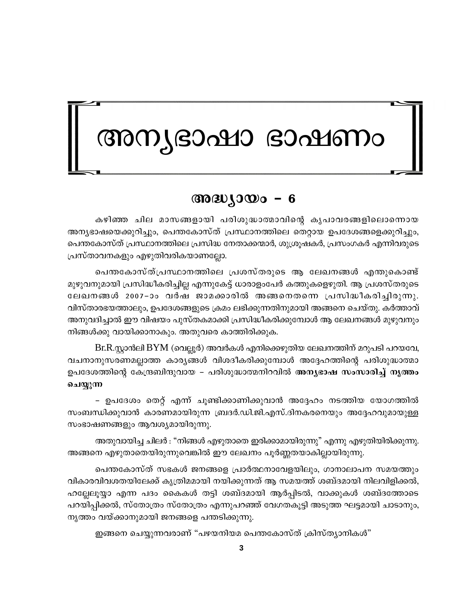# അന്യഭാഷാ ഭാഷണം

## $\omega_{0} = 6$

കഴിഞ്ഞ ചില മാസങ്ങളായി പരിശുദ്ധാത്മാവിന്റെ കൃപാവരങ്ങളിലൊന്നൊയ അന്യഭാഷയെക്കുറിച്ചും, പെന്തകോസ്ത് പ്രസ്ഥാനത്തിലെ തെറ്റായ ഉപദേശങ്ങളെക്കുറിച്ചും, പെന്തകോസ്ത് പ്രസ്ഥാനത്തിലെ പ്രസിദ്ധ നേതാക്കന്മാർ, ശുശ്രൂഷകർ, പ്രസംഗകർ എന്നിവരുടെ പ്രസ്താവനകളും എഴുതിവരികയാണല്ലോ.

പെന്തകോസ്ത്പ്രസ്ഥാനത്തിലെ പ്രശസ്തരുടെ ആ ലേഖനങ്ങൾ എന്തുകൊണ്ട് മുഴുവനുമായി പ്രസിദ്ധീകരിച്ചില്ല എന്നുകേട്ട് ധാരാളംപേർ കത്തുകളെഴുതി. ആ പ്രശസ്തരുടെ ലേഖനങ്ങൾ 2007-ാം വർഷ ജാമക്കാരിൽ അങ്ങനെതന്നെ പ്രസിദ്ധീകരിച്ചിരുന്നു. വിസ്താരഭയത്താലും, ഉപദേശങ്ങളുടെ ക്രമം ലഭിക്കുന്നതിനുമായി അങ്ങനെ ചെയ്തു. കർത്താവ് അനുവദിച്ചാൽ ഈ വിഷയം പുസ്തകമാക്കി പ്രസിദ്ധീകരിക്കുമ്പോൾ ആ ലേഖനങ്ങൾ മുഴുവനും നിങ്ങൾക്കു വായിക്കാനാകും. അതുവരെ കാത്തിരിക്കുക.

Br.R.സ്റ്റാൻലി BYM (വെല്ലൂർ) അവർകൾ എനിക്കെഴുതിയ ലേഖനത്തിന് മറുപടി പറയവേ, വചനാനുസരണമല്ലാത്ത കാര്യങ്ങൾ വിശദീകരിക്കുമ്പോൾ അദ്ദേഹത്തിന്റെ പരിശുദ്ധാത്മാ ഉപദേശത്തിന്റെ കേന്ദ്രബിന്ദുവായ – പരിശുദ്ധാത്മനിറവിൽ അനൃഭാഷ സംസാരിച്ച് നൃത്തം ചെയ്യുന്ന

– ഉപദേശം തെറ്റ് എന്ന് ചൂണ്ടിക്കാണിക്കുവാൻ അദ്ദേഹം നടത്തിയ യോഗത്തിൽ സംബന്ധിക്കുവാൻ കാരണമായിരുന്ന ബ്രദർ.ഡി.ജി.എസ്.ദിനകരനെയും അദ്ദേഹവുമായുള്ള സംഭാഷണങ്ങളും ആവശ്യമായിരുന്നു.

അതുവായിച്ച ചിലർ : "നിങ്ങൾ എഴുതാതെ ഇരിക്കാമായിരുന്നു" എന്നു എഴുതിയിരിക്കുന്നു. അങ്ങനെ എഴുതാതെയിരുന്നുവെങ്കിൽ ഈ ലേഖനം പൂർണ്ണതയാകില്ലായിരുന്നു.

പെന്തകോസ്ത് സഭകൾ ജനങ്ങളെ പ്രാർത്ഥനാവേളയിലും, ഗാനാലാപന സമയത്തും വികാരവിവശതയിലേക്ക് കൃത്രിമമായി നയിക്കുന്നത് ആ സമയത്ത് ശബ്ദമായി നിലവിളിക്കൽ, ഹല്ലേലൂയ്യാ എന്ന പദം കൈകൾ തട്ടി ശബ്ദമായി ആർപ്പിടൽ, വാക്കുകൾ ശബ്ദത്തോടെ പറയിപ്പിക്കൽ, സ്തോത്രം സ്തോത്രം എന്നുപറഞ്ഞ് വേഗതകൂട്ടി അടുത്ത ഘട്ടമായി ചാടാനും, നൃത്തം വയ്ക്കാനുമായി ജനങ്ങളെ പന്തടിക്കുന്നു.

ഇങ്ങനെ ചെയ്യുന്നവരാണ് "പഴയനിയമ പെന്തകോസ്ത് ക്രിസ്ത്യാനികൾ"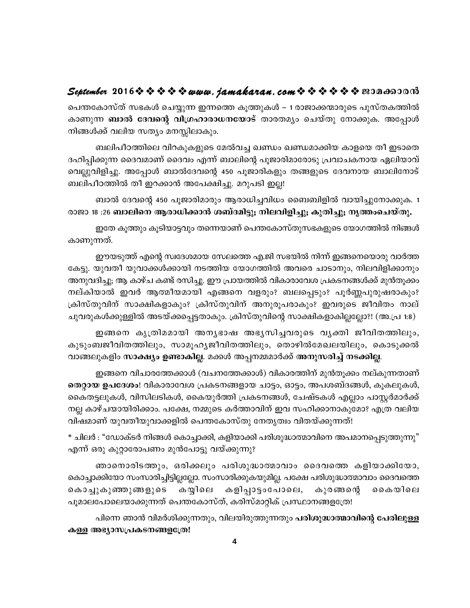പെന്തകോസ്ത് സഭകൾ ചെയ്യുന്ന ഇന്നത്തെ കൂത്തുകൾ – 1 രാജാക്കന്മാരുടെ പുസ്തകത്തിൽ കാണുന്ന ബാൽ ദേവന്റെ വിഗ്രഹാരാധനയോട് താരതമ്യം ചെയ്തു നോക്കുക. അപ്പോൾ നിങ്ങൾക്ക് വലിയ സത്യം മനസ്സിലാകും.

ബലിപീഠത്തിലെ വിറകുകളുടെ മേൽവച്ച ഖണ്ഡം ഖണ്ഡമാക്കിയ കാളയെ തീ ഇടാതെ ദഹിപ്പിക്കുന്ന ദൈവമാണ് ദൈവം എന്ന് ബാലിന്റെ പൂജാരിമാരോടു പ്രവാചകനായ ഏലിയാവ് വെല്ലുവിളിച്ചു. അപ്പോൾ ബാൽദേവന്റെ 450 പൂജാരികളും തങ്ങളുടെ ദേവനായ ബാലിനോട് ബലിപീഠത്തിൽ തീ ഇറക്കാൻ അപേക്ഷിച്ചു. മറുപടി ഇല്ല!

ബാൽ ദേവന്റെ 450 പൂജാരിമാരും ആരാധിച്ചവിധം ബൈബിളിൽ വായിച്ചുനോക്കുക. 1 രാജാ 18 :26 ബാലിനെ ആരാധിക്കാൻ ശബ്ദമിട്ടു; നിലവിളിച്ചു; കുതിച്ചു; നൃത്തംചെയ്തു.

ഇതേ കുത്തും കുടിയാട്ടവും തന്നെയാണ് പെന്തകോസ്തുസഭകളുടെ യോഗത്തിൽ നിങ്ങൾ കാണുന്നത്.

ഈയടുത്ത് എന്റെ സ്വദേശമായ സേലത്തെ എ.ജി സഭയിൽ നിന്ന് ഇങ്ങനെയൊരു വാർത്ത കേട്ടു. യുവതീ യുവാക്കൾക്കായി നടത്തിയ യോഗത്തിൽ അവരെ ചാടാനും, നിലവിളിക്കാനും അനുവദിച്ചു; ആ കാഴ്ച കണ്ട് രസിച്ചു. ഈ പ്രായത്തിൽ വികാരാവേശ പ്രകടനങ്ങൾക്ക് മുൻതൂക്കം നല്കിയാൽ ഇവർ ആത്മീയമായി എങ്ങനെ വളരും? ബലപ്പെടും? പൂർണ്ണപുരുഷരാകും? ക്രിസ്തുവിന് സാക്ഷികളാകും? ക്രിസ്തുവിന് അനുരുപരാകും? ഇവരുടെ ജീവിതം നാല് ചുവരുകൾക്കുള്ളിൽ അടയ്ക്കപ്പെട്ടതാകും. ക്രിസ്തുവിന്റെ സാക്ഷികളാകില്ലല്ലോ?! (അ.പ്ര 1:8)

ഇങ്ങനെ കൃത്രിമമായി അനൃഭാഷ അഭൃസിച്ചവരുടെ വൃക്തി ജീവിതത്തിലും, കുടുംബജീവിതത്തിലും, സാമൂഹൃജീവിതത്തിലും, തൊഴിൽമേഖലയിലും, കൊടുക്കൽ വാങ്ങലുകളിം സാക്ഷ്യം ഉണ്ടാകില്ല. മക്കൾ അപ്പനമ്മമാർക്ക് അനുസരിച്ച് നടക്കില്ല.

ഇങ്ങനെ വിചാരത്തേക്കാൾ (വചനത്തേക്കാൾ) വികാരത്തിന് മുൻതൂക്കം നല്കുന്നതാണ് തെറ്റായ ഉപദേശം! വികാരാവേശ പ്രകടനങ്ങളായ ചാട്ടം, ഓട്ടം, അപശബ്ദങ്ങൾ, കൂകലുകൾ, കൈതട്ടലുകൾ, വിസിലടികൾ, കൈയുർത്തി പ്രകടനങ്ങൾ, ചേഷ്ടകൾ എല്ലാം പാസ്റ്റർമാർക്ക് നല്ല കാഴ്ചയായിരിക്കാം. പക്ഷേ, നമ്മുടെ കർത്താവിന് ഇവ സഹിക്കാനാകുമോ? എത്ര വലിയ വിഷമാണ് യുവതീയുവാക്കളിൽ പെന്തകോസ്തു നേതൃത്വം വിതയ്ക്കുന്നത്!

\* ചിലർ : "ഡോക്ടർ നിങ്ങൾ കൊച്ചാക്കി, കളിയാക്കി പരിശുദ്ധാത്മാവിനെ അപമാനപ്പെടുത്തുന്നു" എന്ന് ഒരു കുറ്റാരോപണം മുൻപോട്ടു വയ്ക്കുന്നു?

ഞാനൊരിടത്തും, ഒരിക്കലും പരിശുദ്ധാത്മാവാം ദൈവത്തെ കളിയാക്കിയോ, കൊച്ചാക്കിയോ സംസാരിച്ചിട്ടില്ലല്ലോ. സംസാരിക്കുകയുമില്ല. പക്ഷേ പരിശുദ്ധാത്മാവാം ദൈവത്തെ കൊച്ചുകുഞ്ഞുങ്ങളുടെ കയ്യിലെ കളിപ്പാട്ടാപോലെ, കുരങ്ങന്റെ കൈയിലെ പൂമാലപോലെയാക്കുന്നത് പെന്തകോസ്ത്, കരിസ്മാറ്റിക് പ്രസ്ഥാനങ്ങളത്രേ!

പിന്നെ ഞാൻ വിമർശിക്കുന്നതും, വിലയിരുത്തുന്നതും **പരിശുദ്ധാത്മാവിന്റെ പേരിലുള്ള** കള്ള അഭ്യാസപ്രകടനങ്ങളത്രേ!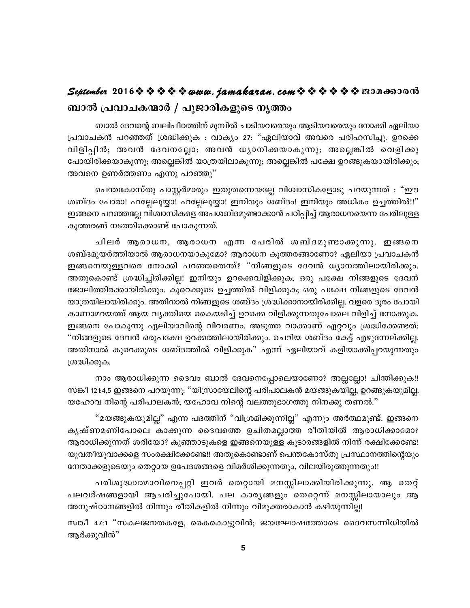# September 2016 \* \* \* \* \* www.jamakaran.com \* \* \* \* \* \* \* 20100000 ബാൽ പ്രവാചകന്മാർ / പൂജാരികളുടെ നൃത്തം

ബാൽ ദേവന്റെ ബലിപീഠത്തിന് മുമ്പിൽ ചാടിയവരെയും ആടിയവരെയും നോക്കി ഏലിയാ പ്രവാചകൻ പറഞ്ഞത് ശ്രദ്ധിക്കുക : വാക്യം 27: "ഏലിയാവ് അവരെ പരിഹസിച്ചു. ഉറക്കെ വിളിപ്പിൻ; അവൻ ദേവനല്ലോ; അവൻ ധ്യാനിക്കയാകുന്നു; അല്ലെങ്കിൽ വെളിക്കു പോയിരിക്കയാകുന്നു; അല്ലെങ്കിൽ യാത്രയിലാകുന്നു; അല്ലെങ്കിൽ പക്ഷേ ഉറങ്ങുകയായിരിക്കും; അവനെ ഉണർത്തണം എന്നു പറഞ്ഞു"

പെന്തകോസ്തു പാസ്റ്റർമാരും ഇതുതന്നെയല്ലേ വിശ്വാസികളോടു പറയുന്നത് : "ഈ ശബ്ദം പോരാ! ഹല്ലേലൂയ്യാ! ഹല്ലേലൂയ്യാ! ഇനിയും ശബ്ദം! ഇനിയും അധികം ഉച്ചത്തിൽ!!" ഇങ്ങനെ പറഞ്ഞല്ലേ വിശ്വാസികളെ അപശബ്ദമുണ്ടാക്കാൻ പഠിപ്പിച്ച് ആരാധനയെന്ന പേരിലുള്ള കുത്തരങ്ങ് നടത്തിക്കൊണ്ട് പോകുന്നത്.

ചിലർ ആരാധന, ആരാധന എന്ന പേരിൽ ശബ്ദമുണ്ടാക്കുന്നു. ഇങ്ങനെ ശബ്ദമുയർത്തിയാൽ ആരാധനയാകുമോ? ആരാധന കൂത്തരങ്ങാണോ? ഏലിയാ പ്രവാചകൻ ഇങ്ങനെയുള്ളവരെ നോക്കി പറഞ്ഞതെന്ത്? ''നിങ്ങളുടെ ദേവൻ ധ്യാനത്തിലായിരിക്കും. അതുകൊണ്ട് ശ്രദ്ധിച്ചിരിക്കില്ല! ഇനിയും ഉറക്കെവിളിക്കുക; ഒരു പക്ഷേ നിങ്ങളുടെ ദേവന് ജോലിത്തിരക്കായിരിക്കും. കൂറെക്കൂടെ ഉച്ചത്തിൽ വിളിക്കുക; ഒരു പക്ഷേ നിങ്ങളുടെ ദേവൻ യാത്രയിലായിരിക്കും. അതിനാൽ നിങ്ങളുടെ ശബ്ദം ശ്രദ്ധിക്കാനായിരിക്കില്ല. വളരെ ദൂരം പോയി കാണാമറയത്ത് ആയ വ്യക്തിയെ കൈയടിച്ച് ഉറക്കെ വിളിക്കുന്നതുപോലെ വിളിച്ച് നോക്കുക. ഇങ്ങനെ പോകുന്നു ഏലിയാവിന്റെ വിവരണം. അടുത്ത വാക്കാണ് ഏറ്റവും ശ്രദ്ധിക്കേണ്ടത്: "നിങ്ങളുടെ ദേവൻ ഒരുപക്ഷേ ഉറക്കത്തിലായിരിക്കും. ചെറിയ ശബ്ദം കേട്ട് എഴുന്നേല്ക്കില്ല. അതിനാൽ കുറെക്കൂടെ ശബ്ദത്തിൽ വിളിക്കുക" എന്ന് ഏലിയാവ് കളിയാക്കിപ്പറയുന്നതും ശ്രദ്ധിക്കുക.

നാം ആരാധിക്കുന്ന ദൈവം ബാൽ ദേവനെപ്പോലെയാണോ? അല്ലല്ലോ! ചിന്തിക്കുക!! സങ്കീ 121:4,5 ഇങ്ങനെ പറയുന്നു: "യിസ്രായേലിന്റെ പരിപാലകൻ മയങ്ങുകയില്ല, ഉറങ്ങുകയുമില്ല. യഹോവ നിന്റെ പരിപാലകൻ; യഹോവ നിന്റെ വലത്തുഭാഗത്തു നിനക്കു തണൽ."

"മയങ്ങുകയുമില്ല" എന്ന പദത്തിന് "വിശ്രമിക്കുന്നില്ല" എന്നും അർത്ഥമുണ്ട്. ഇങ്ങനെ കൃഷ്ണമണിപോലെ കാക്കുന്ന ദൈവത്തെ ഉചിതമല്ലാത്ത രീതിയിൽ ആരാധിക്കാമോ? ആരാധിക്കുന്നത് ശരിയോ? കുഞ്ഞാടുകളെ ഇങ്ങനെയുള്ള കൂടാരങ്ങളിൽ നിന്ന് രക്ഷിക്കേണ്ടേ! യുവതീയുവാക്കളെ സംരക്ഷിക്കേണ്ടേ!! അതുകൊണ്ടാണ് പെന്തകോസ്തു പ്രസ്ഥാനത്തിന്റെയും നേതാക്കളുടെയും തെറ്റായ ഉപേദശങ്ങളെ വിമർശിക്കുന്നതും, വിലയിരുത്തുന്നതും!!

പരിശുദ്ധാത്മാവിനെപ്പറ്റി ഇവർ തെറ്റായി മനസ്സിലാക്കിയിരിക്കുന്നു. ആ തെറ്റ് പലവർഷങ്ങളായി ആചരിച്ചുപോയി. പല കാരൃങ്ങളും തെറ്റെന്ന് മനസ്സിലായാലും ആ അനുഷ്ഠാനങ്ങളിൽ നിന്നും രീതികളിൽ നിന്നും വിമുക്തരാകാൻ കഴിയുന്നില്ല!

സങ്കീ 47:1 "സകലജനതകളേ, കൈകൊട്ടുവിൻ; ജയഘോഷത്തോടെ ദൈവസന്നിധിയിൽ ആർക്കുവിൻ"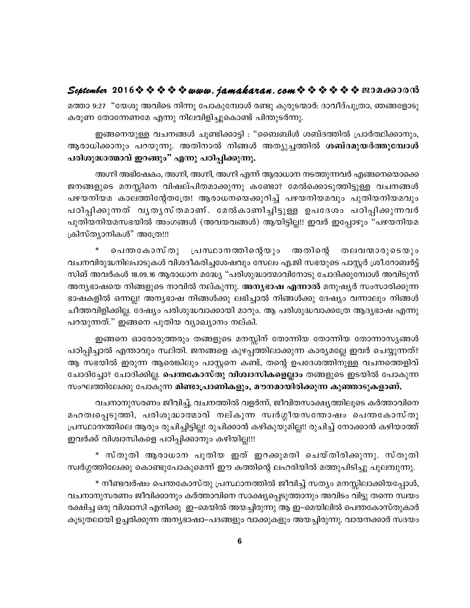മത്താ 9:27 "യേശു അവിടെ നിന്നു പോകുമ്പോൾ രണ്ടു കുരുടന്മാർ: ദാവീദ്പുത്രാ, ഞങ്ങളോടു കരുണ തോന്നേണമേ എന്നു നിലവിളിച്ചുകൊണ്ട് പിന്തുടർന്നു.

ഇങ്ങനെയുള്ള വചനങ്ങൾ ചൂണ്ടിക്കാട്ടി : "ബൈബിൾ ശബ്ദത്തിൽ പ്രാർത്ഥിക്കാനും, ആരാധിക്കാനും പറയുന്നു. അതിനാൽ നിങ്ങൾ അത്യുച്ചത്തിൽ ശബ്ദമുയർത്തുമ്പോൾ പരിശുദ്ധാത്മാവ് ഇറങ്ങും" എന്നു പഠിപ്പിക്കുന്നു.

അഗ്നി അഭിഷേകം, അഗ്നി, അഗ്നി, അഗ്നി എന്ന് ആരാധാന നടത്തുന്നവർ എങ്ങനെയൊക്കെ ജനങ്ങളുടെ മനസ്സിനെ വിഷല്പിതമാക്കുന്നു കണ്ടോ? മേൽക്കൊടുത്തിട്ടുള്ള വചനങ്ങൾ പഴയനിയമ കാലത്തിന്റേതത്രേ! ആരാധനയെക്കുറിച്ച് പഴയനിയമവും പുതിയനിയമവും പഠിപ്പിക്കുന്നത് വൃതൃസ്തമാണ്. മേൽകാണിച്ചിട്ടുള്ള ഉപദേശം പഠിപ്പിക്കുന്നവർ പുതിയനിയമസഭയിൽ അംഗങ്ങൾ (അവയവങ്ങൾ) ആയിട്ടില്ല!! ഇവർ ഇപ്പോഴും "പഴയനിയമ ക്രിസ്ത്യാനികൾ" അത്രേ!!!

 $\ast$ പെന്തകോസ്തു പ്രസ്ഥാനത്തിന്റെയും അതിന്റെ തലവന്മാരുടെയും വചനവിരുദ്ധനിലപാടുകൾ വിശദീകരിച്ചശേഷവും സേലം എ.ജി സഭയുടെ പാസ്റ്റർ ശ്രീ.റോബർട്ട് സിങ് അവർകൾ 18.09.16 ആരാധാന മദ്ധ്യേ "പരിശുദ്ധാത്മാവിനോടു ചോദിക്കുമ്പോൾ അവിടുന്ന് അന്യഭാഷയെ നിങ്ങളുടെ നാവിൽ നല്കുന്നു. **അന്യഭാഷ എന്നാൽ** മനുഷ്യർ സംസാരിക്കുന്ന ഭാഷകളിൽ ഒന്നല്ല! അന്യഭാഷ നിങ്ങൾക്കു ലഭിച്ചാൽ നിങ്ങൾക്കു ദേഷ്യം വന്നാലും നിങ്ങൾ ചീത്തവിളിക്കില്ല. ദേഷ്യം പരിശുദ്ധവാക്കായി മാറും. ആ പരിശുദ്ധവാക്കത്രേ ആദ്യഭാഷ എന്നു പറയുന്നത്." ഇങ്ങനെ പുതിയ വ്യാഖ്യാനം നല്കി.

ഇങ്ങനെ ഓരോരുത്തരും തങ്ങളുടെ മനസ്സിന് തോന്നിയ തോന്നിയ തോന്നാസൃങ്ങൾ പഠിപ്പിച്ചാൽ എന്താവും സ്ഥിതി. ജനങ്ങളെ കുഴപ്പത്തിലാക്കുന്ന കാര്യമല്ലേ ഇവർ ചെയ്യുന്നത്? ആ സഭയിൽ ഇരുന്ന ആരെങ്കിലും പാസ്റ്റനെ കണ്ട്, തന്റെ ഉപദേശത്തിനുള്ള വചനത്തെളിവ് ചോദിച്ചോ? ചോദിക്കില്ല. **പെന്തകോസ്തു വിശ്വാസികളെല്ലാം** തങ്ങളുടെ ഇടയിൽ പോകുന്ന സംഘത്തിലേക്കു പോകുന്ന മിണ്ടാപ്രാണികളും, മൗനമായിരിക്കുന്ന കുഞ്ഞാടുകളാണ്.

വചനാനുസരണം ജീവിച്ച്, വചനത്തിൽ വളർന്ന്, ജീവിതസാക്ഷ്യത്തിലൂടെ കർത്താവിനെ മഹത്വപ്പെടുത്തി, പരിശുദ്ധാത്മാവ് നല്കുന്ന സ്വർഗ്ഗീയസന്തോഷം പെന്തകോസ്തു പ്രസ്ഥാനത്തിലെ ആരും രുചിച്ചിട്ടില്ല! രുചിക്കാൻ കഴികുയുമില്ല!! രുചിച്ച് നോക്കാൻ കഴിയാത്ത് ഇവർക്ക് വിശ്വാസികളെ പഠിപ്പിക്കാനും കഴിയില്ല!!!

\* സ്തുതി ആരാധാന പുതിയ ഇത് ഇറക്കുമതി ചെയ്തിരിക്കുന്നു. സ്തുതി സ്വർഗ്ഗത്തിലേക്കു കൊണ്ടുപോകുമെന്ന് ഈ കത്തിന്റെ ലഹരിയിൽ മത്തുപിടിച്ചു പുലമ്പുന്നു.

\* നീണ്ടവർഷം പെന്തകോസ്തു പ്രസ്ഥാനത്തിൽ ജീവിച്ച് സത്യം മനസ്സിലാക്കിയപ്പോൾ, വചനാനുസരണം ജീവിക്കാനും കർത്താവിനെ സാക്ഷ്യപ്പെടുത്താനും അവിടം വിട്ടു തന്നെ സ്വയം രക്ഷിച്ച ഒരു വിശ്വാസി എനിക്കു ഇ–മെയിൽ അയച്ചിരുന്നു ആ ഇ–മെയിലിൽ പെന്തകോസ്തുകാർ കൂടുതലായി ഉച്ചരിക്കുന്ന അന്യഭാഷാ–പദങ്ങളും വാക്കുകളും അയച്ചിരുന്നു. വായനക്കാർ സദയം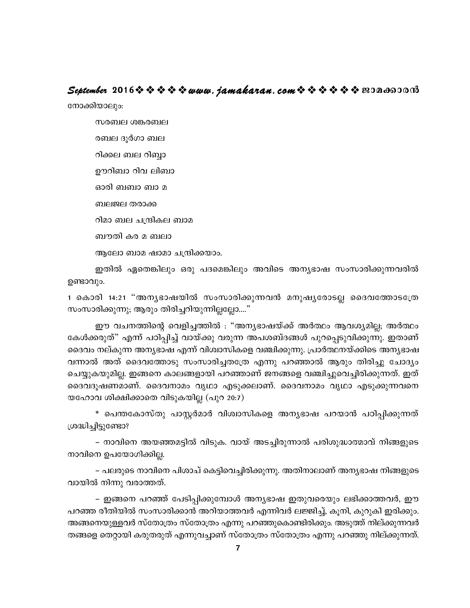## September 2016 $\rightsquigarrow \rightsquigarrow \rightsquigarrow \rightsquigarrow$  www.jamakaran.com  $\rightsquigarrow \rightsquigarrow \rightsquigarrow \rightsquigarrow \rightsquigarrow$  segando and നോക്കിയാലും:

സരബല ശങ്കരബല രബല ദുർഗാ ബല റിക്കല ബല റിബ്ബാ ഊറിബാ റിവ ലിബാ ഓരി ബബാ ബാ മ ബലജല തരാക്ക റിമാ ബല ചന്ദ്രികല ബാമ ബൗതി കര മ ബലാ ആലോ ബാമ ഷാമാ ചന്ദ്രിക്കയാം.

ഇതിൽ ഏതെങ്കിലും ഒരു പദമെങ്കിലും അവിടെ അന്യഭാഷ സംസാരിക്കുന്നവരിൽ ഉണ്ടാവും.

1 കൊരി 14:21 "അനൃഭാഷയിൽ സംസാരിക്കുന്നവൻ മനുഷൃരോടല്ല ദൈവത്തോടത്രേ സംസാരിക്കുന്നു; ആരും തിരിച്ചറിയുന്നില്ലല്ലോ...."

ഈ വചനത്തിന്റെ വെളിച്ചത്തിൽ : "അന്യഭാഷയ്ക്ക് അർത്ഥം ആവശ്യമില്ല; അർത്ഥം കേൾക്കരുത്" എന്ന് പഠിപിച്ച് വായ്ക്കു വരുന്ന അപശബ്ദങ്ങൾ പുറപെടുവിക്കുന്നു. ഇതാണ് ദൈവം നല്കുന്ന അന്യഭാഷ എന്ന് വിശ്വാസികളെ വഞ്ചിക്കുന്നു. പ്രാർത്ഥനയ്ക്കിടെ അന്യഭാഷ വന്നാൽ അത് ദൈവത്തോടു സംസാരിച്ചതത്രേ എന്നു പറഞ്ഞാൽ ആരും തിരിച്ചു ചോദ്യം ചെയ്യുകയുമില്ല. ഇങ്ങനെ കാലങ്ങളായി പറഞ്ഞാണ് ജനങ്ങളെ വഞ്ചിച്ചുവെച്ചിരിക്കുന്നത്. ഇത് ദൈവദൂഷണമാണ്. ദൈവനാമം വൃഥാ എടുക്കലാണ്. ദൈവനാമം വൃഥാ എടുക്കുന്നവനെ യഹോവ ശിക്ഷിക്കാതെ വിടുകയില്ല (പുറ 20:7)

\* പെന്തകോസ്തു പാസ്റ്റർമാർ വിശ്വാസികളെ അന്യഭാഷ പറയാൻ പഠിപ്പിക്കുന്നത് ശ്രദ്ധിച്ചിട്ടുണ്ടോ?

– നാവിനെ അയഞ്ഞമട്ടിൽ വിടുക. വായ് അടച്ചിരുന്നാൽ പരിശുദ്ധാത്മാവ് നിങ്ങളുടെ നാവിനെ ഉപയോഗിക്കില്ല.

– പലരുടെ നാവിനെ പിശാച് കെട്ടിവെച്ചിരിക്കുന്നു. അതിനാലാണ് അന്യഭാഷ നിങ്ങളുടെ വായിൽ നിന്നു വരാത്തത്.

– ഇങ്ങനെ പറഞ്ഞ് പേടിപ്പിക്കുമ്പോൾ അന്യഭാഷ ഇതുവരെയും ലഭിക്കാത്തവർ, ഈ പറഞ്ഞ രീതിയിൽ സംസാരിക്കാൻ അറിയാത്തവർ എന്നിവർ ലജ്ജിച്ച്, കുനി, കുറുകി ഇരിക്കും. അങ്ങനെയുള്ളവർ സ്തോത്രം സ്തോത്രം എന്നു പറഞ്ഞുകൊണ്ടിരിക്കും. അടുത്ത് നില്ക്കുന്നവർ തങ്ങളെ തെറ്റായി കരുതരുത് എന്നുവച്ചാണ് സ്തോത്രം സ്തോത്രം എന്നു പറഞ്ഞു നില്ക്കുന്നത്.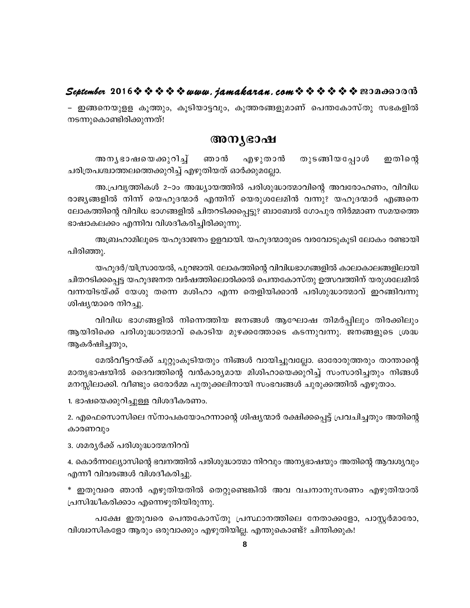– ഇങ്ങനെയുളള കൂത്തും, കൂടിയാട്ടവും, കൂത്തരങ്ങളുമാണ് പെന്തകോസ്തു സഭകളിൽ നടന്നുകൊണ്ടിരിക്കുന്നത്!

#### അന്യഭാഷ

അനൃഭാഷയെക്കുറിച് തുടങ്ങിയപ്പോൾ ഇതിന്റെ ഞാൻ എഴുതാൻ ചരിത്രപശ്ചാത്തലത്തെക്കുറിച്ച് എഴുതിയത് ഓർക്കുമല്ലോ.

അ.പ്രവൃത്തികൾ 2–ാം അദ്ധ്യായത്തിൽ പരിശുദ്ധാത്മാവിന്റെ അവരോഹണം, വിവിധ രാജ്യങ്ങളിൽ നിന്ന് യെഹൂദന്മാർ എന്തിന് യെരുശലേമിൻ വന്നു? യഹൂദന്മാർ എങ്ങനെ ലോകത്തിന്റെ വിവിധ ഭാഗങ്ങളിൽ ചിതറടിക്കപ്പെട്ടു? ബാബേൽ ഗോപുര നിർമ്മാണ സമയത്തെ ഭാഷാകലക്കം എന്നിവ വിശദീകരിച്ചിരിക്കുന്നു.

അബ്രഹാമിലൂടെ യഹുദാജനം ഉളവായി. യഹുദന്മാരുടെ വരവോടുകൂടി ലോകം രണ്ടായി പിരിഞ്ഞു.

യഹൂദർ/യിസ്രായേൽ, പുറജാതി. ലോകത്തിന്റെ വിവിധഭാഗങ്ങളിൽ കാലാകാലങ്ങളിലായി ചിതറടിക്കപ്പെട്ട യഹുദജനത വർഷത്തിലൊരിക്കൽ പെന്തകോസ്തു ഉത്സവത്തിന് യരുശലേമിൽ വന്നയിടയ്ക്ക് യേശു തന്നെ മശിഹാ എന്ന തെളിയിക്കാൻ പരിശുദ്ധാത്മാവ് ഇറങ്ങിവന്നു ശിഷ്യന്മാരെ നിറച്ചു.

വിവിധ ഭാഗങ്ങളിൽ നിന്നെത്തിയ ജനങ്ങൾ ആഘോഷ തിമർപ്പിലും തിരക്കിലും ആയിരിക്കെ പരിശുദ്ധാത്മാവ് കൊടിയ മുഴക്കത്തോടെ കടന്നുവന്നു. ജനങ്ങളുടെ ശ്രദ്ധ ആകർഷിച്ചതും,

മേൽവീട്ടറയ്ക്ക് ചുറ്റുംകൂടിയതും നിങ്ങൾ വായിച്ചുവല്ലോ. ഓരോരുത്തരും താന്താന്റെ മാതൃഭാഷയിൽ ദൈവത്തിന്റെ വൻകാര്യമായ മിശിഹായെക്കുറിച്ച് സംസാരിച്ചതും നിങ്ങൾ മനസ്സിലാക്കി. വീണ്ടും ഒരോർമ്മ പുതുക്കലിനായി സംഭവങ്ങൾ ചുരുക്കത്തിൽ എഴുതാം.

1. ഭാഷയെക്കുറിച്ചുള്ള വിശദീകരണം.

2. എഫെസൊസിലെ സ്നാപകയോഹന്നാന്റെ ശിഷ്യന്മാർ രക്ഷിക്കപ്പെട്ട് പ്രവചിച്ചതും അതിന്റെ കാരണവും

3. ശമര്യർക്ക് പരിശുദ്ധാത്മനിറവ്

4. കൊർന്നല്യോസിന്റെ ഭവനത്തിൽ പരിശുദ്ധാത്മാ നിറവും അന്യഭാഷയും അതിന്റെ ആവശ്യവും എന്നീ വിവരങ്ങൾ വിശദീകരിച്ചു.

\* ഇതുവരെ ഞാൻ എഴുതിയതിൽ തെറ്റുണ്ടെങ്കിൽ അവ വചനാനുസരണം എഴുതിയാൽ പ്രസിദ്ധീകരിക്കാം എന്നെഴുതിയിരുന്നു.

പക്ഷേ ഇതുവരെ പെന്തകോസ്തു പ്രസ്ഥാനത്തിലെ നേതാക്കളോ, പാസ്റ്റർമാരോ, വിശ്വാസികളോ ആരും ഒരുവാക്കും എഴുതിയില്ല. എന്തുകൊണ്ട്? ചിന്തിക്കുക!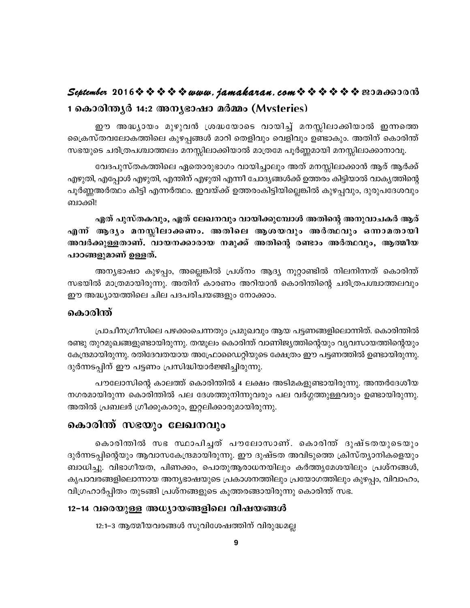# September 2016 $\rightsquigarrow \rightsquigarrow \rightsquigarrow \rightsquigarrow uww.$ jamakaran.com $\rightsquigarrow \rightsquigarrow \rightsquigarrow \rightsquigarrow \rightsquigarrow \rightsquigarrow \text{nonnon}$ 1 കൊരിന്തൃർ 14:2 അനൃഭാഷാ മർമ്മം (Mvsteries)

ഈ അദ്ധ്യായം മുഴുവൻ ശ്രദ്ധയോടെ വായിച്ച് മനസ്സിലാക്കിയാൽ ഇന്നത്തെ ക്രൈസ്തവലോകത്തിലെ കുഴപ്പങ്ങൾ മാറി തെളിവും വെളിവും ഉണ്ടാകും. അതിന് കൊരിന്ത് സഭയുടെ ചരിത്രപശ്ചാത്തലം മനസ്സിലാക്കിയാൽ മാത്രമേ പൂർണ്ണമായി മനസ്സിലാക്കാനാവൂ.

വേദപുസ്തകത്തിലെ ഏതൊരുഭാഗം വായിച്ചാലും അത് മനസ്സിലാക്കാൻ ആര് ആർക്ക് എഴുതി, എപ്പോൾ എഴുതി, എന്തിന് എഴുതി എന്നീ ചോദ്യങ്ങൾക്ക് ഉത്തരം കിട്ടിയാൽ വാകൃത്തിന്റെ പൂർണ്ണഅർത്ഥം കിട്ടി എന്നർത്ഥം. ഇവയ്ക്ക് ഉത്തരംകിട്ടിയില്ലെങ്കിൽ കുഴപ്പവും, ദുരുപദേശവും ബാക്കി!

ഏത് പുസ്തകവും, ഏത് ലേഖനവും വായിക്കുമ്പോൾ അതിന്റെ അനുവാചകർ ആര് എന് ആദ്യം മനസ്സിലാക്കണം. അതിലെ ആശയവും അർത്ഥവും ഒന്നാമതായി അവർക്കുള്ളതാണ്. വായനക്കാരായ നമുക്ക് അതിന്റെ രണ്ടാം അർത്ഥവും, ആത്മീയ പാഠങ്ങളുമാണ് ഉള്ളത്.

അന്യഭാഷാ കുഴപ്പം, അല്ലെങ്കിൽ പ്രശ്നം ആദ്യ നൂറ്റാണ്ടിൽ നിലനിന്നത് കൊരിന്ത് സഭയിൽ മാത്രമായിരുന്നു. അതിന് കാരണം അറിയാൻ കൊരിന്തിന്റെ ചരിത്രപശ്ചാത്തലവും ഈ അദ്ധ്യായത്തിലെ ചില പദപരിചയങ്ങളും നോക്കാം.

#### കൊരിന്ത്

പ്രാചീനഗ്രീസിലെ പഴക്കംചെന്നതും പ്രമുഖവും ആയ പട്ടണങ്ങളിലൊന്നിത്. കൊരിന്തിൽ രണ്ടു തുറമുഖങ്ങളുണ്ടായിരുന്നു. തന്മൂലം കൊരിന്ത് വാണിജ്യത്തിന്റെയും വ്യവസായത്തിന്റെയും കേന്ദ്രമായിരുന്നു. രതിദേവതയായ അഫ്രോഡൈറ്റിയുടെ ക്ഷേത്രം ഈ പട്ടണത്തിൽ ഉണ്ടായിരുന്നു. ദുർന്നടപ്പിന് ഈ പട്ടണം പ്രസിദ്ധിയാർജ്ജിച്ചിരുന്നു.

പൗലോസിന്റെ കാലത്ത് കൊരിന്തിൽ 4 ലക്ഷം അടിമകളുണ്ടായിരുന്നു. അന്തർദേശീയ നഗരമായിരുന്ന കൊരിന്തിൽ പല ദേശത്തുനിന്നുവരും പല വർഗ്ഗത്തുള്ളവരും ഉണ്ടായിരുന്നു. അതിൽ പ്രബലർ ഗ്രീക്കുകാരും, ഇറ്റലിക്കാരുമായിരുന്നു.

## കൊരിന്ത് സഭയും ലേഖനവും

കൊരിന്തിൽ സഭ സ്ഥാപിച്ചത് പൗലോസാണ്. കൊരിന്ത് ദുഷ്ടതയുടെയും ദുർന്നടപ്പിന്റെയും ആവാസകേന്ദ്രമായിരുന്നു. ഈ ദുഷ്ടത അവിടുത്തെ ക്രിസ്ത്യാനികളെയും ബാധിച്ചു. വിഭാഗീയത, പിണക്കം, പൊതുആരാധനയിലും കർത്തൃമേശയിലും പ്രശ്നങ്ങൾ, കൃപാവരങ്ങളിലൊന്നായ അനൃഭാഷയുടെ പ്രകാശനത്തിലും പ്രയോഗത്തിലും കുഴപ്പം, വിവാഹം, വിഗ്രഹാർപ്പിതം തുടങ്ങി പ്രശ്നങ്ങളുടെ കൂത്തരങ്ങായിരുന്നു കൊരിന്ത് സഭ.

### 12-14 വരെയുള്ള അധ്യായങ്ങളിലെ വിഷയങ്ങൾ

12:1–3 ആത്മീയവരങ്ങൾ സുവിശേഷത്തിന് വിരുദ്ധമല്ല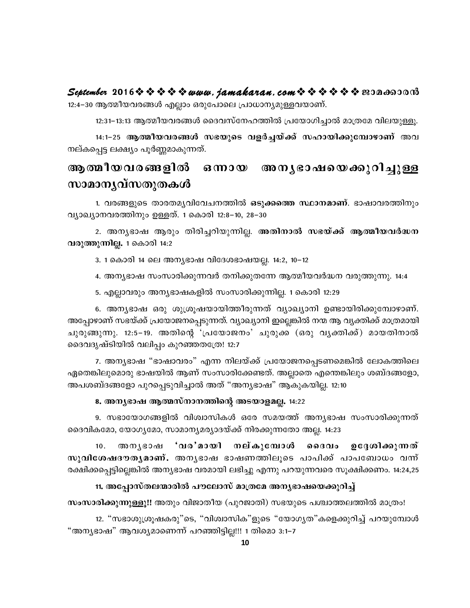#### September 2016  $\rightsquigarrow \rightsquigarrow \rightsquigarrow \rightsquigarrow uww. jamakarau. com \rightsquigarrow \rightsquigarrow \rightsquigarrow \rightsquigarrow \rightsquigarrow \rightsquigarrow \text{as a}$ 12:4–30 ആത്മീയവരങ്ങൾ എല്ലാം ഒരുപോലെ പ്രാധാന്യമുള്ളവയാണ്.

12:31–13:13 ആത്മീയവരങ്ങൾ ദൈവസ്നേഹത്തിൽ പ്രയോഗിച്ചാൽ മാത്രമേ വിലയുള്ളു.

14:1–25 ആത്മീയവരങ്ങൾ സഭയുടെ വളർച്ചയ്ക്ക് സഹായിക്കുമ്പോഴാണ് അവ നല്കപ്പെട്ട ലക്ഷ്യം പൂർണ്ണമാകുന്നത്.

#### ആത്മീയവരങ്ങളിൽ അനൃഭാഷയെക്കുറിച്ചുള്ള ഒന്നായ സാമാനൃവ്സതുതകൾ

1. വരങ്ങളുടെ താരതമൃവിവേചനത്തിൽ <mark>ഒടുക്കത്തെ സ്ഥാനമാണ്</mark>. ഭാഷാവരത്തിനും വ്യാഖ്യാനവരത്തിനും ഉള്ളത്. 1 കൊരി 12:8–10, 28–30

2. അനൃഭാഷ ആരും തിരിച്ചറിയുന്നില്ല. <mark>അതിനാൽ സഭയ്ക്ക് ആത്മീയവർദ്ധന</mark> വരുത്തുന്നില്ല. 1 കൊരി 14:2

3. 1 കൊരി 14 ലെ അനൃഭാഷ വിദേശഭാഷയല്ല. 14:2, 10−12

4. അന്യഭാഷ സംസാരിക്കുന്നവർ തനിക്കുതന്നേ ആത്മീയവർദ്ധന വരുത്തുന്നു. 14:4

5. എല്ലാവരും അന്യഭാഷകളിൽ സംസാരിക്കുന്നില്ല. 1 കൊരി 12:29

6. അന്യഭാഷ ഒരു ശുശ്രൂഷയായിത്തീരുന്നത് വ്യാഖ്യാനി ഉണ്ടായിരിക്കുമ്പോഴാണ്. അപ്പോഴാണ് സഭയ്ക്ക് പ്രയോജനപ്പെടുന്നത്. വ്യാഖ്യാനി ഇല്ലെങ്കിൽ നന്മ ആ വൃക്തിക്ക് മാത്രമായി ചുരുങ്ങുന്നു. 12:5−19. അതിന്റെ 'പ്രയോജനം' ചുരുക്ക (ഒരു വൃക്തിക്ക്) മായതിനാൽ ദൈവദൃഷ്ടിയിൽ വലിപ്പം കുറഞ്ഞതത്രേ! 12:7

7. അന്യഭാഷ "ഭാഷാവരം" എന്ന നിലയ്ക്ക് പ്രയോജനപ്പെടണമെങ്കിൽ ലോകത്തിലെ ഏതെങ്കിലുമൊരു ഭാഷയിൽ ആണ് സംസാരിക്കേണ്ടത്. അല്ലാതെ എന്തെങ്കിലും ശബ്ദങ്ങളോ, അപശബ്ദങ്ങളോ പുറപ്പെടുവിച്ചാൽ അത് "അന്യഭാഷ" ആകുകയില്ല. 12:10

#### 8. അനൃഭാഷ ആത്മസ്നാനത്തിന്റെ അടയാളമല്ല. 14:22

9. സഭായോഗങ്ങളിൽ വിശ്വാസികൾ ഒരേ സമയത്ത് അനൃഭാഷ സംസാരിക്കുന്നത് ദൈവികമോ, യോഗൃമോ, സാമാന്യമര്യാദയ്ക്ക് നിരക്കുന്നതോ അല്ല. 14:23

അനൃഭാഷ 'വര'മായി നല്കുമ്പോൾ  $10.$ ദൈവം ഉദേശിക്കുന്നത് സുവിശേഷദൗതൃമാണ്. അനൃഭാഷ ഭാഷണത്തിലൂടെ പാപിക്ക് പാപബോധം വന്ന് രക്ഷിക്കപ്പെട്ടില്ലെങ്കിൽ അന്യഭാഷ വരമായി ലഭിച്ചു എന്നു പറയുന്നവരെ സൂക്ഷിക്കണം. 14:24,25

#### 11. അപ്പോസ്തലന്മാരിൽ പൗലോസ് മാത്രമേ അനൃഭാഷയെക്കുറിച്ച്

സംസാരിക്കുന്നുള്ളൂ!! അതും വിജാതീയ (പുറജാതി) സഭയുടെ പശ്ചാത്തലത്തിൽ മാത്രം!

12. "സഭാശുശ്രൂഷകരു"ടെ, "വിശ്വാസിക"ളുടെ "യോഗൃത"കളെക്കുറിച്ച് പറയുമ്പോൾ "അന്യഭാഷ" ആവശ്യമാണെന്ന് പറഞ്ഞിട്ടില്ല!!! 1 തിമൊ 3:1–7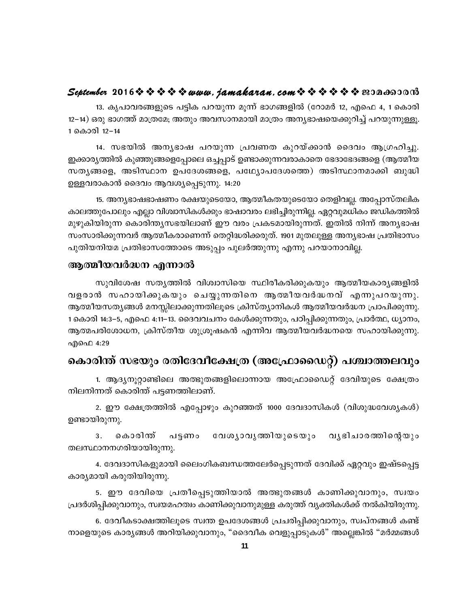13. കൃപാവരങ്ങളുടെ പട്ടിക പറയുന്ന മൂന്ന് ഭാഗങ്ങളിൽ (റോമർ 12, എഫെ 4, 1 കൊരി 12–14) ഒരു ഭാഗത്ത് മാത്രമേ; അതും അവസാനമായി മാത്രം അനൃഭാഷയെക്കുറിച്ച് പറയുന്നുള്ളു. 1 കൊരി 12-14

14. സഭയിൽ അന്യഭാഷ പറയുന്ന പ്രവണത കുറയ്ക്കാൻ ദൈവം ആഗ്രഹിച്ചു. ഇക്കാര്യത്തിൽ കുഞ്ഞുങ്ങളെപ്പോലെ ഒച്ചപ്പാട് ഉണ്ടാക്കുന്നവരാകാതെ ഭേദാഭേദങ്ങളെ (ആത്മീയ സതൃങ്ങളെ, അടിസ്ഥാന ഉപദേശങ്ങളെ, പഥ്ര്യാപദേശത്തെ) അടിസ്ഥാനമാക്കി ബുദ്ധി ഉള്ളവരാകാൻ ദൈവം ആവശ്യപ്പെടുന്നു. 14:20

15. അനൃഭാഷഭാഷണം രക്ഷയുടെയോ, ആത്മീകതയുടെയോ തെളിവല്ല. അപ്പോസ്തലിക കാലത്തുപോലും എല്ലാ വിശ്വാസികൾക്കും ഭാഷാവരം ലഭിച്ചിരുന്നില്ല. ഏറ്റവുമധികം ജഡികത്തിൽ മുഴുകിയിരുന്ന കൊരിന്ത്യസഭയിലാണ് ഈ വരം പ്രകടമായിരുന്നത്. ഇതിൽ നിന്ന് അന്യഭാഷ സംസാരിക്കുന്നവർ ആത്മീകരാണെന്ന് തെറ്റിദ്ധരിക്കരുത്. 1901 മുതലുള്ള അന്യഭാഷ പ്രതിഭാസം പുതിയനിയമ പ്രതിഭാസത്തോടെ അടുപ്പം പുലർത്തുന്നു എന്നു പറയാനാവില്ല.

#### ആത്മീയവർദ്ധന എന്നാൽ

സുവിശേഷ സതൃത്തിൽ വിശ്വാസിയെ സ്ഥിരീകരിക്കുകയും ആത്മീയകാര്യങ്ങളിൽ വളരാൻ സഹായിക്കുകയും ചെയ്യുന്നതിനെ ആത്മീയവർദ്ധനവ് എന്നുപറയുന്നു. ആത്മീയസതൃങ്ങൾ മനസ്സിലാക്കുന്നതിലൂടെ ക്രിസ്ത്യാനികൾ ആത്മീയവർദ്ധന പ്രാപിക്കുന്നു. 1 കൊരി 14:3–5, എഫെ 4:11–13. ദൈവവചനം കേൾക്കുന്നതും, പഠിപ്പിക്കുന്നതും, പ്രാർത്ഥ, ധ്യാനം, ആത്മപരിശോധന, ക്രിസ്തീയ ശുശ്രൂഷകൻ എന്നിവ ആത്മീയവർദ്ധനയെ സഹായിക്കുന്നു. എഫെ 4:29

# കൊരിന്ത് സഭയും രതിദേവീക്ഷേത്ര (അഫ്രോഡൈറ്റ്) പശ്ചാത്തലവും

1. ആദ്യനൂറ്റാണ്ടിലെ അത്ഭുതങ്ങളിലൊന്നായ അഫ്രോഡൈറ്റ് ദേവിയുടെ ക്ഷേത്രം നിലനിന്നത് കൊരിന്ത് പട്ടണത്തിലാണ്.

2. ഈ ക്ഷേത്രത്തിൽ എപ്പോഴും കുറഞ്ഞത് 1000 ദേവദാസികൾ (വിശുദ്ധവേശ്യകൾ) ഉണ്ടായിരുന്നു.

കൊരിന്ത് വേശ്യാവൃത്തിയുടെയും വൃഭിചാരത്തിന്റെയും  $3.$ പട്ടണം തലസ്ഥാനനഗരിയായിരുന്നു.

4. ദേവദാസികളുമായി ലൈംഗികബന്ധത്തലേർപ്പെടുന്നത് ദേവിക്ക് ഏറ്റവും ഇഷ്ടപ്പെട്ട കാര്യമായി കരുതിയിരുന്നു.

5. ഈ ദേവിയെ പ്രതീപ്പെടുത്തിയാൽ അത്ഭുതങ്ങൾ കാണിക്കുവാനും, സ്വയം പ്രദർശിപ്പിക്കുവാനും, സ്വയമഹത്വം കാണിക്കുവാനുമുള്ള കരുത്ത് വ്യക്തികൾക്ക് നൽകിയിരുന്നു.

6. ദേവീകടാക്ഷത്തിലൂടെ സ്വന്ത ഉപദേശങ്ങൾ പ്രചരിപ്പിക്കുവാനും, സ്വപ്നങ്ങൾ കണ്ട് നാളെയുടെ കാര്യങ്ങൾ അറിയിക്കുവാനും, "ദൈവീക വെളുപ്പാടുകൾ" അല്ലെങ്കിൽ "മർമ്മങ്ങൾ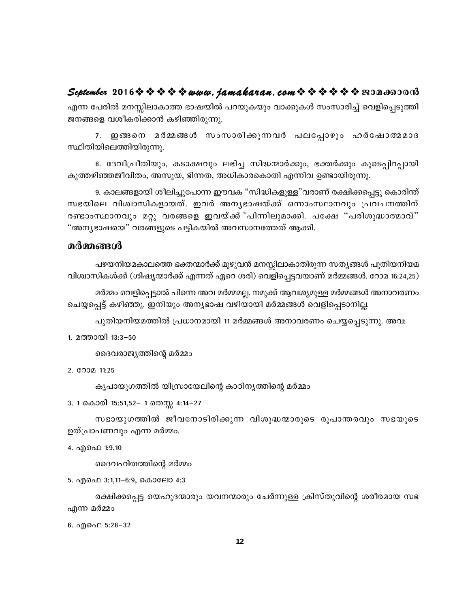#### September 2016 $\rightsquigarrow \rightsquigarrow \rightsquigarrow \rightsquigarrow uww.$ jamakaran.com $\rightsquigarrow \rightsquigarrow \rightsquigarrow \rightsquigarrow \rightsquigarrow \rightsquigarrow \text{non}$

എന്ന പേരിൽ മനസ്സിലാകാത്ത ഭാഷയിൽ പറയുകയും വാക്കുകൾ സംസാരിച്ച് വെളിപെടുത്തി ജനങ്ങളെ വശീകരിക്കാൻ കഴിഞ്ഞിരുന്നു.

7. ഇങ്ങനെ മർമ്മങ്ങൾ സംസാരിക്കുന്നവർ പലപ്പോഴും ഹർഷോത്മമാദ സ്ഥിതിയിലെത്തിയിരുന്നു.

8. ദേവീപ്രീതിയും, കടാക്ഷവും ലഭിച്ച സിദ്ധന്മാർക്കും, ഭക്തർക്കും കൂടെപ്പിറപ്പായി കുത്തഴിഞ്ഞജീവിതം, അസൂയ, ഭിന്നത, അധികാരകൊതി എന്നിവ ഉണ്ടായിരുന്നു.

9. കാലങ്ങളായി ശീലിച്ചുപോന്ന ഈവക "സിദ്ധികളുള്ള"വരാണ് രക്ഷിക്കപ്പെട്ടു കൊരിന്ത് സഭയിലെ വിശ്വാസികളായത്. ഇവർ അനൃഭാഷയ്ക്ക് ഒന്നാംസ്ഥാനവും പ്രവചനത്തിന് രണ്ടാംസ്ഥാനവും മറ്റു വരങ്ങളെ ഇവയ്ക്ക്്പിന്നിലുമാക്കി. പക്ഷേ "പരിശുദ്ധാത്മാവ്" "അന്യഭാഷയെ" വരങ്ങളുടെ പട്ടികയിൽ അവസാനത്തേത് ആക്കി.

#### മർമ്മങ്ങൾ

പഴയനിയമകാലത്തെ ഭക്തന്മാർക്ക് മുഴുവൻ മനസ്സിലാകാതിരുന്ന സത്യങ്ങൾ പുതിയനിയമ വിശ്വാസികൾക്ക് (ശിഷ്യന്മാർക്ക് എന്നത് ഏറെ ശരി) വെളിപ്പെട്ടവയാണ് മർമ്മങ്ങൾ. റോമ 16:24,25)

മർമ്മം വെളിപ്പെട്ടാൽ പിന്നെ അവ മർമ്മമല്ല. നമുക്ക് ആവശ്യമുള്ള മർമ്മങ്ങൾ അനാവരണം ചെയ്യപ്പെട്ട് കഴിഞ്ഞു. ഇനിയും അന്യഭാഷ വഴിയായി മർമ്മങ്ങൾ വെളിപ്പെടാനില്ല.

പുതിയനിയമത്തിൽ പ്രധാനമായി 11 മർമ്മങ്ങൾ അനാവരണം ചെയ്യപ്പെടുന്നു. അവ:

```
1. മത്തായി 13:3-50
```
ദൈവരാജ്യത്തിന്റെ മർമ്മം

#### 2. 0002 11:25

കൃപായുഗത്തിൽ യിസ്രായേലിന്റെ കാഠിനൃത്തിന്റെ മർമ്മം

3. 1 കൊരി 15:51,52- 1 തെസ്സ 4:14-27

സഭായുഗത്തിൽ ജീവനോടിരിക്കുന്ന വിശുദ്ധന്മാരുടെ രൂപാന്തരവും സഭയുടെ ഉത്പ്രാപണവും എന്ന മർമ്മം.

```
4. എഫെ 1:9,10
```
ദൈവഹിതത്തിന്റെ മർമ്മം

5. എഫെ 3:1,11-6:9, കൊലോ 4:3

രക്ഷിക്കപ്പെട്ട യെഹൂദന്മാരും യവനന്മാരും ചേർന്നുള്ള ക്രിസ്തുവിന്റെ ശരീരമായ സഭ എന്ന മർമ്മം

6. എഫെ 5:28-32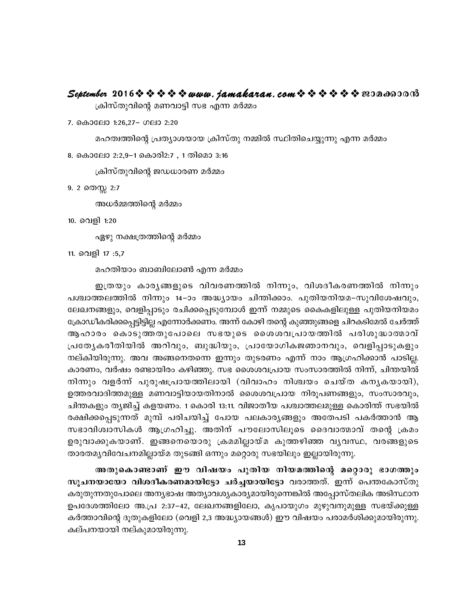#### September 2016 $\rightsquigarrow \rightsquigarrow \rightsquigarrow \rightsquigarrow uww.$ jamakaran.com $\rightsquigarrow \rightsquigarrow \rightsquigarrow \rightsquigarrow \rightsquigarrow \rightsquigarrow \text{nonnon}$

ക്രിസ്തുവിന്റെ മണവാട്ടി സഭ എന്ന മർമ്മം

7. കൊലോ 1:26,27- ഗലാ 2:20

മഹത്വത്തിന്റെ പ്രത്യാശയായ ക്രിസ്തു നമ്മിൽ സ്ഥിതിചെയ്യുന്നു എന്ന മർമ്മം

8. കൊലോ 2:2,9-1 കൊരി2:7, 1 തിമൊ 3:16

ക്രിസ്തുവിന്റെ ജഡധാരണ മർമ്മം

9. 2 തെസ്സ 2:7

അധർമ്മത്തിന്റെ മർമ്മം

10. വെളി 1:20

ഏഴു നക്ഷത്രത്തിന്റെ മർമ്മം

11. വെളി 17 :5,7

മഹതിയാം ബാബിലോൺ എന്ന മർമ്മം

ഇത്രയും കാരൃങ്ങളുടെ വിവരണത്തിൽ നിന്നും, വിശദീകരണത്തിൽ നിന്നും പശ്ചാത്തലത്തിൽ നിന്നും 14–ാം അദ്ധ്യായം ചിന്തിക്കാം. പുതിയനിയമ–സുവിശേഷവും, ലേഖനങ്ങളും, വെളിപ്പാടും രചിക്കപ്പെടുമ്പോൾ ഇന്ന് നമ്മുടെ കൈകളിലുള്ള പുതിയനിയമം ക്രോഡീകരിക്കപ്പെട്ടിട്ടില്ല എന്നോർക്കണം. അന്ന് കോഴി തന്റെ കുഞ്ഞുങ്ങളെ ചിറകടിമേൽ ചേർത്ത് ആഹാരം കൊടുത്തതുപോലെ സഭയുടെ ശൈശവപ്രായത്തിൽ പരിശുദ്ധാത്മാവ് പ്രത്യേകരീതിയിൽ അറിവും, ബുദ്ധിയും, പ്രായോഗികജഞാനവും, വെളിപ്പാടുകളും നല്കിയിരുന്നു. അവ അങ്ങനെതന്നെ ഇന്നും തുടരണം എന്ന് നാം ആഗ്രഹിക്കാൻ പാടില്ല. കാരണം, വർഷം രണ്ടായിരം കഴിഞ്ഞു. സഭ ശൈശവപ്രായ സംസാരത്തിൽ നിന്ന്, ചിന്തയിൽ നിന്നും വളർന്ന് പുരുഷപ്രായത്തിലായി (വിവാഹം നിശ്ചയം ചെയ്ത കനൃകയായി), ഉത്തരവാദിത്തമുള്ള മണവാട്ടിയായതിനാൽ ശൈശവപ്രായ നിരുപണങ്ങളും, സംസാരവും, ചിന്തകളും തൃജിച്ച് കളയണം. 1 കൊരി 13:11. വിജാതീയ പശ്ചാത്തലമുള്ള കൊരിന്ത് സഭയിൽ രക്ഷിക്കപ്പെടുന്നത് മുമ്പ് പരിചയിച്ച് പോയ പലകാരൃങ്ങളും അതേപടി പകർത്താൻ ആ സഭാവിശ്വാസികൾ ആഗ്രഹിച്ചു. അതിന് പൗലോസിലൂടെ ദൈവാത്മാവ് തന്റെ ക്രമം ഉരുവാക്കുകയാണ്. ഇങ്ങനെയൊരു ക്രമമില്ലായ്മ കുത്തഴിഞ്ഞ വൃവസ്ഥ, വരങ്ങളുടെ താരതമൃവിവേചനമില്ലായ്മ തുടങ്ങി ഒന്നും മറ്റൊരു സഭയിലും ഇല്ലായിരുന്നു.

അതുകൊണ്ടാണ് ഈ വിഷയം പുതിയ നിയമത്തിന്റെ മറ്റൊരു ഭാഗത്തും സുചനയായോ വിശദീകരണമായിട്ടോ ചർച്ചയായിട്ടോ വരാത്തത്. ഇന്ന് പെന്തകോസ്തു കരുതുന്നതുപോലെ അന്യഭാഷ അത്യാവശ്യകാര്യമായിരുന്നെങ്കിൽ അപ്പോസ്തലിക അടിസ്ഥാന ഉപദേശത്തിലോ അ.പ്ര 2:37–42, ലേഖനങ്ങളിലോ, കൃപായുഗം മുഴുവനുമുള്ള സഭയ്ക്കുള്ള കർത്താവിന്റെ ദൂതുകളിലോ (വെളി 2,3 അദ്ധ്യായങ്ങൾ) ഈ വിഷയം പരാമർശിക്കുമായിരുന്നു. കല്പനയായി നല്കുമായിരുന്നു.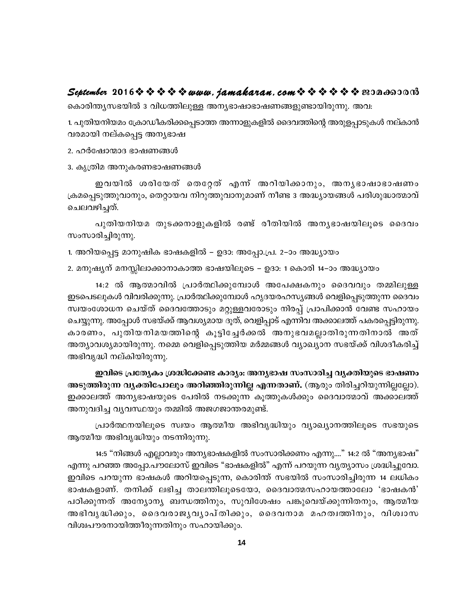#### September 2016 $\rightsquigarrow \rightsquigarrow \rightsquigarrow \rightsquigarrow uww.$ jamakaran.com $\rightsquigarrow \rightsquigarrow \rightsquigarrow \rightsquigarrow \rightsquigarrow \rightsquigarrow \text{non}$

കൊരിന്ത്യസഭയിൽ 3 വിധത്തിലുള്ള അന്യഭാഷാഭാഷണങ്ങളുണ്ടായിരുന്നു. അവ:

1. പുതിയനിയമം ക്രോഡീകരിക്കപ്പെടാത്ത അന്നാളുകളിൽ ദൈവത്തിന്റെ അരുളപ്പാടുകൾ നല്കാൻ വരമായി നല്കപ്പെട്ട അന്യഭാഷ

2. ഹർഷോന്മാദ ഭാഷണങ്ങൾ

3. കൃത്രിമ അനുകരണഭാഷണങ്ങൾ

ഇവയിൽ ശരിയേത് തെറ്റേത് എന്ന് അറിയിക്കാനും, അനൃഭാഷാഭാഷണം ക്രമപ്പെടുത്തുവാനും, തെറ്റായവ നിറുത്തുവാനുമാണ് നീണ്ട 3 അദ്ധ്യായങ്ങൾ പരിശുദ്ധാത്മാവ് ചെലവഴിച്ചത്.

പുതിയനിയമ തുടക്കനാളുകളിൽ രണ്ട് രീതിയിൽ അനൃഭാഷയിലൂടെ ദൈവം സംസാരിച്ചിരുന്നു.

1. അറിയപ്പെട്ട മാനുഷിക ഭാഷകളിൽ – ഉദാ: അപ്പോ.പ്ര. 2–ാം അദ്ധ്യായം

2. മനുഷ്യന് മനസ്സിലാക്കാനാകാത്ത ഭാഷയിലൂടെ – ഉദാ: 1 കൊരി 14–ാം അദ്ധ്യായം

14:2 ൽ ആത്മാവിൽ പ്രാർത്ഥിക്കുമ്പോൾ അപേക്ഷകനും ദൈവവും തമ്മിലുള്ള ഇടപെടലുകൾ വിവരിക്കുന്നു. പ്രാർത്ഥിക്കുമ്പോൾ ഹൃദയരഹസ്യങ്ങൾ വെളിപ്പെടുത്തുന്ന ദൈവം സ്വയംശോധന ചെയ്ത് ദൈവത്തോടും മറ്റുള്ളവരോടും നിരപ്പ് പ്രാപിക്കാൻ വേണ്ട സഹായം ചെയ്യുന്നു. അപ്പോൾ സഭയ്ക്ക് ആവശ്യമായ ദൂത്, വെളിപ്പാട് എന്നിവ അക്കാലത്ത് പകരപ്പെട്ടിരുന്നു. കാരണം, പുതിയനിമയത്തിന്റെ കൂട്ടിച്ചേർക്കൽ അനുഭവമല്ലാതിരുന്നതിനാൽ അത് അത്യാവശ്യമായിരുന്നു. നമ്മെ വെളിപ്പെടുത്തിയ മർമ്മങ്ങൾ വ്യാഖ്യാന സഭയ്ക്ക് വിശദീകരിച്ച് അഭിവൃദ്ധി നല്കിയിരുന്നു.

ഇവിടെ പ്രത്യേകം ശ്രദ്ധിക്കേണ്ട കാര്യം: അന്യഭാഷ സംസാരിച്ച വ്യക്തിയുടെ ഭാഷണം അടുത്തിരുന്ന വ്യക്തിപോലും അറിഞ്ഞിരുന്നില്ല എന്നതാണ്. (ആരും തിരിച്ചറിയുന്നില്ലല്ലോ). ഇക്കാലത്ത് അന്യഭാഷയുടെ പേരിൽ നടക്കുന്ന കുത്തുകൾക്കും ദൈവാത്മാവ് അക്കാലത്ത് അനുവദിച്ച വ്യവസ്ഥയും തമ്മിൽ അജഗജാന്തരമുണ്ട്.

പ്രാർത്ഥനയിലൂടെ സ്വയം ആത്മീയ അഭിവൃദ്ധിയും വ്യാഖ്യാനത്തിലൂടെ സഭയുടെ ആത്മീയ അഭിവൃദ്ധിയും നടന്നിരുന്നു.

14:5 "നിങ്ങൾ എല്ലാവരും അന്യഭാഷകളിൽ സംസാരിക്കണം എന്നു…." 14:2 ൽ "അന്യഭാഷ" എന്നു പറഞ്ഞ അപ്പോ.പൗലോസ് ഇവിടെ "ഭാഷകളിൽ" എന്ന് പറയുന്ന വൃത്യാസം ശ്രദ്ധിച്ചുവോ. ഇവിടെ പറയുന്ന ഭാഷകൾ അറിയപ്പെടുന്ന, കൊരിന്ത് സഭയിൽ സംസാരിച്ചിരുന്ന 14 ലധികം ഭാഷകളാണ്. തനിക്ക് ലഭിച്ച താലന്തിലൂടെയോ, ദൈവാത്മസഹായത്താലോ 'ഭാഷകൻ' പഠിക്കുന്നത് അന്യോന്യ ബന്ധത്തിനും, സുവിശേഷം പങ്കുവെയ്ക്കുന്നിതനും, ആത്മീയ അഭിവൃദ്ധിക്കും, ദൈവരാജൃവൃാപ്തിക്കും, ദൈവനാമ മഹത്വത്തിനും, വിശ്വാസ വിശ്വപൗരനായിത്തീരുന്നതിനും സഹായിക്കും.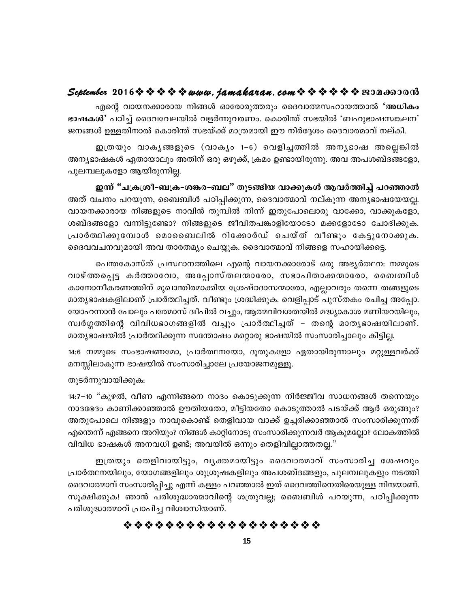എന്റെ വായനക്കാരായ നിങ്ങൾ ഓരോരുത്തരും ദൈവാത്മസഹായത്താൽ **'അധികം** ഭാഷകൾ' പഠിച്ച് ദൈവവേലയിൽ വളർന്നുവരണം. കൊരിന്ത് സഭയിൽ 'ബഹുഭാഷസങ്കലന' ജനങ്ങൾ ഉള്ളതിനാൽ കൊരിന്ത് സഭയ്ക്ക് മാത്രമായി ഈ നിർദ്ദേശം ദൈവാത്മാവ് നല്കി.

ഇത്രയും വാകൃങ്ങളുടെ (വാകൃം 1-6) വെളിച്ചത്തിൽ അനൃഭാഷ അല്ലെങ്കിൽ അന്യഭാഷകൾ ഏതായാലും അതിന് ഒരു ഒഴുക്ക്, ക്രമം ഉണ്ടായിരുന്നു. അവ അപശബ്ദങ്ങളോ, പുലമ്പലുകളോ ആയിരുന്നില്ല.

ഇന്ന് "ചക്രശ്രീ-ബക്ര-ശങ്കര-ബല" തുടങ്ങിയ വാക്കുകൾ ആവർത്തിച്ച് പറഞ്ഞാൽ അത് വചനം പറയുന്ന, ബൈബിൾ പഠിപ്പിക്കുന്ന, ദൈവാത്മാവ് നല്കുന്ന അന്യഭാഷയേയല്ല. വായനക്കാരായ നിങ്ങളുടെ നാവിൻ തുമ്പിൽ നിന്ന് ഇതുപോലൊരു വാക്കോ, വാക്കുകളോ, ശബ്ദങ്ങളോ വന്നിട്ടുണ്ടോ? നിങ്ങളുടെ ജീവിതപങ്കാളിയോടോ മക്കളോടോ ചോദിക്കുക. പ്രാർത്ഥിക്കുമ്പോൾ മൊബൈലിൽ റിക്കോർഡ് ചെയ്ത് വീണ്ടും കേട്ടുനോക്കുക. ദൈവവചനവുമായി അവ താരതമ്യം ചെയ്യുക. ദൈവാത്മാവ് നിങ്ങളെ സഹായിക്കട്ടെ.

പെന്തകോസ്ത് പ്രസ്ഥാനത്തിലെ എന്റെ വായനക്കാരോട് ഒരു അഭ്യർത്ഥന: നമ്മുടെ വാഴ്ത്തപ്പെട്ട കർത്താവോ, അപ്പോസ്തലന്മാരോ, സഭാപിതാക്കന്മാരോ, ബൈബിൾ കാനോനീകരണത്തിന് മുഖാന്തിരമാക്കിയ ശ്രേഷ്ഠദാസന്മാരോ, എല്ലാവരും തന്നെ തങ്ങളുടെ മാതൃഭാഷകളിലാണ് പ്രാർത്ഥിച്ചത്. വീണ്ടും ശ്രദ്ധിക്കുക. വെളിപ്പാട് പുസ്തകം രചിച്ച അപ്പോ. യോഹന്നാൻ പോലും പത്മോസ് ദ്വീപിൽ വച്ചും, ആത്മവിവശതയിൽ മദ്ധ്യാകാശ മണിയറയിലും, സ്വർഗ്ഗത്തിന്റെ വിവിധഭാഗങ്ങളിൽ വച്ചും പ്രാർത്ഥിച്ചത് – തന്റെ മാതൃഭാഷയിലാണ്. മാതൃഭാഷയിൽ പ്രാർത്ഥിക്കുന്ന സന്തോഷം മറ്റൊരു ഭാഷയിൽ സംസാരിച്ചാലും കിട്ടില്ല.

14:6 നമ്മുടെ സംഭാഷണമോ, പ്രാർത്ഥനയോ, ദൂതുകളോ ഏതായിരുന്നാലും മറ്റുള്ളവർക്ക് മനസ്സിലാകുന്ന ഭാഷയിൽ സംസാരിച്ചാലേ പ്രയോജനമുള്ളൂ.

#### തുടർന്നുവായിക്കുക:

14:7–10 "കുഴൽ, വീണ എന്നിങ്ങനെ നാദം കൊടുക്കുന്ന നിർജ്ജീവ സാധനങ്ങൾ തന്നെയും നാദഭേദം കാണിക്കാഞ്ഞാൽ ഊതിയതോ, മീട്ടിയതോ കൊടുത്താൽ പടയ്ക്ക് ആർ ഒരുങ്ങും? അതുപോലെ നിങ്ങളും നാവുകൊണ്ട് തെളിവായ വാക്ക് ഉച്ചരിക്കാഞ്ഞാൽ സംസാരിക്കുന്നത് എന്തെന്ന് എങ്ങനെ അറിയും? നിങ്ങൾ കാറ്റിനോടു സംസാരിക്കുന്നവർ ആകുമല്ലോ? ലോകത്തിൽ വിവിധ ഭാഷകൾ അനവധി ഉണ്ട്; അവയിൽ ഒന്നും തെളിവില്ലാത്തതല്ല."

ഇത്രയും തെളിവായിട്ടും, വൃക്തമായിട്ടും ദൈവാത്മാവ് സംസാരിച്ച ശേഷവും പ്രാർത്ഥനയിലും, യോഗങ്ങളിലും ശുശ്രൂഷകളിലും അപശബ്ദങ്ങളും, പുലമ്പലുകളും നടത്തി ദൈവാത്മാവ് സംസാരിപ്പിച്ചു എന്ന് കള്ളം പറഞ്ഞാൽ ഇത് ദൈവത്തിനെതിരെയുള്ള നിന്ദയാണ്. സൂക്ഷിക്കുക! ഞാൻ പരിശുദ്ധാത്മാവിന്റെ ശത്രുവല്ല; ബൈബിൾ പറയുന്ന, പഠിപ്പിക്കുന്ന പരിശുദ്ധാത്മാവ് പ്രാപിച്ച വിശ്വാസിയാണ്.

#### \*\*\*\*\*\*\*\*\*\*\*\*\*\*\*\*\*\*\*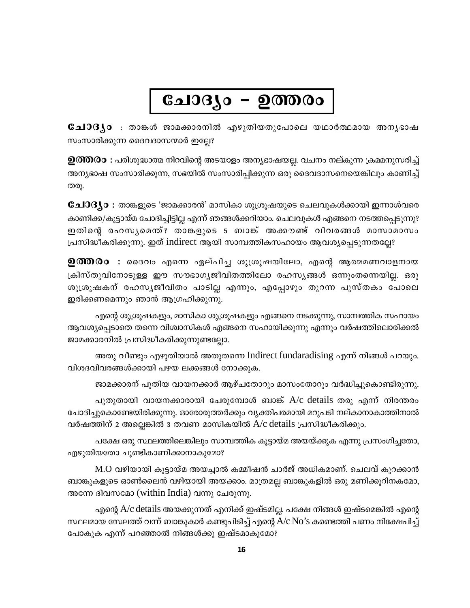# ചോദ്യം – ഉത്തരം

 $G_{\Delta}10$ ദ $\zeta$ o : താങ്കൾ ജാമക്കാരനിൽ എഴുതിയതുപോലെ യഥാർത്ഥമായ അന $\zeta$ ഭാഷ സംസാരിക്കുന്ന ദൈവദാസന്മാർ ഇല്ലേ?

**ഉത്തരാ** : പരിശുദ്ധാത്മ നിറവിന്റെ അടയാളം അന്യഭാഷയല്ല. വചനം നല്കുന്ന ക്രമമനുസരിച്ച് അന്യഭാഷ സംസാരിക്കുന്ന, സഭയിൽ സംസാരിപ്പിക്കുന്ന ഒരു ദൈവദാസനെയെങ്കിലും കാണിച്ച് തരൂ.

ലേിോ3്യാ : താങ്കളുടെ 'ജാമക്കാരൻ' മാസികാ ശുശ്രൂഷയുടെ ചെലവുകൾക്കായി ഇന്നാൾവരെ കാണിക്ക/കൂട്ടായ്മ ചോദിച്ചിട്ടില്ല എന്ന് ഞങ്ങൾക്കറിയാം. ചെലവുകൾ എങ്ങനെ നടത്തപ്പെടുന്നു? ഇതിന്റെ രഹസൃമെന്ത്? താങ്കളുടെ 5 ബാങ്ക് അക്കൗണ്ട് വിവരങ്ങൾ മാസാമാസം പ്രസിദ്ധീകരിക്കുന്നു. ഇത് indirect ആയി സാമ്പത്തികസഹായം ആവശ്യപ്പെടുന്നതല്ലേ?

 $\mathbf{\Omega}$ ത്ത $\mathbf{\Omega}$ രാ $\mathbf{\Omega}$ ാദേവം എന്നെ ഏല്പിച്ച ശുശ്രൂഷയിലോ, എന്റെ ആത്മമണവാളനായ ക്രിസ്തുവിനോടുള്ള ഈ സൗഭാഗൃജീവിതത്തിലോ രഹസ്യങ്ങൾ ഒന്നുംതന്നെയില്ല. ഒരു ശുശ്രൂഷകന് രഹസ്യജീവിതം പാടില്ല എന്നും, എപ്പോഴും തുറന്ന പുസ്തകം പോലെ ഇരിക്കണമെന്നും ഞാൻ ആഗ്രഹിക്കുന്നു.

എന്റെ ശുശ്രൂഷകളും, മാസികാ ശുശ്രൂഷകളും എങ്ങനെ നടക്കുന്നു, സാമ്പത്തിക സഹായം ആവശ്യപ്പെടാതെ തന്നെ വിശ്വാസികൾ എങ്ങനെ സഹായിക്കുന്നു എന്നും വർഷത്തിലൊരിക്കൽ ജാമക്കാരനിൽ പ്രസിദ്ധീകരിക്കുന്നുണ്ടല്ലോ.

അതു വീണ്ടും എഴുതിയാൽ അതുതന്നെ Indirect fundaradising എന്ന് നിങ്ങൾ പറയും. വിശദവിവരങ്ങൾക്കായി പഴയ ലക്കങ്ങൾ നോക്കുക.

ജാമക്കാരന് പുതിയ വായനക്കാർ ആഴ്ചതോറും മാസംതോറും വർദ്ധിച്ചുകൊണ്ടിരുന്നു.

പുതുതായി വായനക്കാരായി ചേരുമ്പോൾ ബാങ്ക് A/c details തരു എന്ന് നിരന്തരം ചോദിച്ചുകൊണ്ടേയിരിക്കുന്നു. ഓരോരുത്തർക്കും വ്യക്തിപരമായി മറുപടി നല്കാനാകാത്തിനാൽ വർഷത്തിന് 2 അല്ലെങ്കിൽ 3 തവണ മാസികയിൽ  $A/c$  details പ്രസിദ്ധീകരിക്കും.

പക്ഷേ ഒരു സ്ഥലത്തിലെങ്കിലും സാമ്പത്തിക കുട്ടായ്മ അയയ്ക്കുക എന്നു പ്രസംഗിച്ചതോ, എഴുതിയതോ ചുണ്ടികാണിക്കാനാകുമോ?

M.O വഴിയായി കുട്ടായ്മ അയച്ചാൽ കമ്മീഷൻ ചാർജ് അധികമാണ്. ചെലവ് കുറക്കാൻ ബാങ്കുകളുടെ ഓൺലൈൻ വഴിയായി അയക്കാം. മാത്രമല്ല ബാങ്കുകളിൽ ഒരു മണിക്കൂറിനകമോ, അന്നേ ദിവസമോ (within India) വന്നു ചേരുന്നു.

എന്റെ A/c details അയക്കുന്നത് എനിക്ക് ഇഷ്ടമില്ല. പക്ഷേ നിങ്ങൾ ഇഷ്ടമെങ്കിൽ എന്റെ സ്ഥലമായ സേലത്ത് വന്ന് ബാങ്കുകാർ കണ്ടുപിടിച്ച് എന്റെ  $A/c$   $\mathrm{No}$ 's കണ്ടെത്തി പണം നിക്ഷേപിച്ച് പോകുക എന്ന് പറഞ്ഞാൽ നിങ്ങൾക്കു ഇഷ്ടമാകുമോ?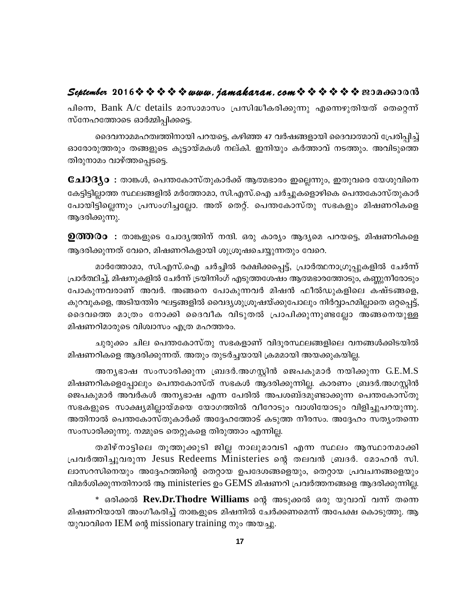#### September 2016 $\rightsquigarrow \rightsquigarrow \rightsquigarrow \rightsquigarrow uww.$ jamakaran.com $\rightsquigarrow \rightsquigarrow \rightsquigarrow \rightsquigarrow \rightsquigarrow \rightsquigarrow \text{non}$

പിന്നെ, Bank A/c details മാസാമാസം പ്രസിദ്ധീകരിക്കുന്നു എന്നെഴുതിയത് തെറ്റെന്ന് സ്നേഹത്തോടെ ഓർമ്മിപ്പിക്കട്ടെ.

ദൈവനാമമഹത്വത്തിനായി പറയട്ടെ, കഴിഞ്ഞ 47 വർഷങ്ങളായി ദൈവാത്മാവ് പ്രേരിപ്പിച്ച് ഓരോരുത്തരും തങ്ങളുടെ കൂട്ടായ്മകൾ നല്കി. ഇനിയും കർത്താവ് നടത്തും. അവിടുത്തെ തിരുനാമം വാഴ്ത്തപ്പെടട്ടെ.

ലേി3ൃo : താങ്കൾ, പെന്തകോസ്തുകാർക്ക് ആത്മഭാരം ഇല്ലെന്നും, ഇതുവരെ യേശുവിനെ കേട്ടിട്ടില്ലാത്ത സ്ഥലങ്ങളിൽ മർത്തോമാ, സി.എസ്.ഐ ചർച്ചുകളൊഴികെ പെന്തകോസ്തുകാർ പോയിട്ടില്ലെന്നും പ്രസംഗിച്ചല്ലോ. അത് തെറ്റ്. പെന്തകോസ്തു സഭകളും മിഷണറികളെ ആദരിക്കുന്നു.

 $\mathbf{\Omega}$ **ന്നറിറ :** താങ്കളുടെ ചോദൃത്തിന് നന്ദി. ഒരു കാര്യം ആദ്യമെ പറയട്ടെ, മിഷണറികളെ ആദരിക്കുന്നത് വേറെ, മിഷണറികളായി ശുശ്രുഷചെയ്യുന്നതും വേറെ.

മാർത്തോമാ, സി.എസ്.ഐ ചർച്ചിൽ രക്ഷിക്കപ്പെട്ട്, പ്രാർത്ഥനാഗ്രൂപ്പുകളിൽ ചേർന്ന് പ്രാർത്ഥിച്ച്, മിഷനുകളിൽ ചേർന്ന് ട്രയിനിംഗ് എടുത്തശേഷം ആത്മഭാരത്തോടും, കണ്ണുനീരോടും പോകുന്നവരാണ് അവർ. അങ്ങനെ പോകുന്നവർ മിഷൻ ഫീൽഡുകളിലെ കഷ്ടങ്ങളെ, കുറവുകളെ, അടിയന്തിര ഘട്ടങ്ങളിൽ വൈദ്യശുശ്രൂഷയ്ക്കുപോലും നിർവ്വാഹമില്ലാതെ ഒറ്റപ്പെട്ട്, ദൈവത്തെ മാത്രം നോക്കി ദൈവീക വിടുതൽ പ്രാപിക്കുന്നുണ്ടല്ലോ അങ്ങനെയുള്ള മിഷണറിമാരുടെ വിശ്വാസം എത്ര മഹത്തരം.

ചുരുക്കം ചില പെന്തകോസ്തു സഭകളാണ് വിദുരസ്ഥലങ്ങളിലെ വനങ്ങൾക്കിടയിൽ മിഷണറികളെ ആദരിക്കുന്നത്. അതും തുടർച്ചയായി ക്രമമായി അയക്കുകയില്ല.

അനൃഭാഷ സംസാരിക്കുന്ന ബ്രദർ.അഗസ്റ്റിൻ ജെപകുമാർ നയിക്കുന്ന G.E.M.S മിഷണറികളെപ്പോലും പെന്തകോസ്ത് സഭകൾ ആദരിക്കുന്നില്ല. കാരണം ബ്രദർ.അഗസ്റ്റിൻ ജെപകുമാർ അവർകൾ അന്യഭാഷ എന്ന പേരിൽ അപശബ്ദമുണ്ടാക്കുന്ന പെന്തകോസ്തു സഭകളുടെ സാക്ഷ്യമില്ലായ്മയെ യോഗത്തിൽ വീറോടും വാശിയോടും വിളിച്ചുപറയുന്നു. അതിനാൽ പെന്തകോസ്തുകാർക്ക് അദ്ദേഹത്തോട് കടുത്ത നീരസം. അദ്ദേഹം സത്യംതന്നെ സംസാരിക്കുന്നു. നമ്മുടെ തെറ്റുകളെ തിരുത്താം എന്നില്ല.

തമിഴ്നാട്ടിലെ തുത്തുക്കുടി ജില്ല നാലുമാവടി എന്ന സ്ഥലം ആസ്ഥാനമാക്കി പ്രവർത്തിച്ചുവരുന്ന Jesus Redeems Ministeries ന്റെ തലവൻ ബ്രദർ. മോഹൻ സി. ലാസറസിനെയും അദ്ദേഹത്തിന്റെ തെറ്റായ ഉപദേശങ്ങളെയും, തെറ്റായ പ്രവചനങ്ങളെയും വിമർശിക്കുന്നതിനാൽ ആ ministeries ഉം GEMS മിഷണറി പ്രവർത്തനങ്ങളെ ആദരിക്കുന്നില്ല.

\* ഒരിക്കൽ Rev.Dr.Thodre Williams ന്റെ അടുക്കൽ ഒരു യുവാവ് വന്ന് തന്നെ മിഷണറിയായി അംഗീകരിച്ച് താങ്കളുടെ മിഷനിൽ ചേർക്കണമെന്ന് അപേക്ഷ കൊടുത്തു. ആ യുവാവിനെ IEM ന്റെ missionary training നും അയച്ചു.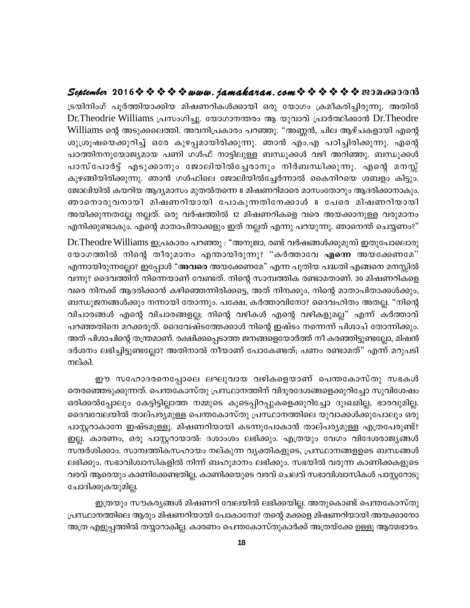#### September 2016※※※※※www.jamakaran.com※※※※※※20066000

ട്രയിനിംഗ് പൂർത്തിയാക്കിയ മിഷണറികൾക്കായി ഒരു യോഗം ക്രമീകരിച്ചിരുന്നു. അതിൽ Dr.Theodrie Williams പ്രസംഗിച്ചു. യോഗാനന്തരം ആ യുവാവ് പ്രാർത്ഥിക്കാൻ Dr.Theodre Williams ന്റെ അടുക്കലെത്തി. അവനിപ്രകാരം പറഞ്ഞു. "അണ്ണൻ, ചില ആഴ്ചകളായി എന്റെ ശുശ്രൂഷയെക്കുറിച്ച് ഒരേ കുഴപ്പമായിരിക്കുന്നു. ഞാൻ എം.എ പഠിച്ചിരിക്കുന്നു. എന്റെ പഠത്തിനനുയോജ്യമായ പണി ഗൾഫ് നാട്ടിലുള്ള ബന്ധുക്കൾ വഴി അറിഞ്ഞു. ബന്ധുക്കൾ പാസ്പോർട്ട് എടുക്കാനും ജോലിയിൽച്ചേരാനും നിർബന്ധിക്കുന്നു. എന്റെ മനസ്സ് കുഴങ്ങിയിരിക്കുന്നു. ഞാൻ ഗൾഫിലെ ജോലിയിൽച്ചേർന്നാൽ കൈനിറയെ ശബളം കിട്ടും. ജോലിയിൽ കയറിയ ആദ്യമാസം മുതൽതന്നെ 8 മിഷണറിമാരെ മാസംതോറും ആദരിക്കാനാകും. ഞാനൊരുവനായി മിഷണറിയായി പോകുന്നതിനേക്കാൾ 8 പേരെ മിഷണറിയായി അയിക്കുന്നതല്ലേ നല്ലത്. ഒരു വർഷത്തിൽ 12 മിഷണറികളെ വരെ അയക്കാനുള്ള വരുമാനം എനിക്കുണ്ടാകും. എന്റെ മാതാപിതാക്കളും ഇത് നല്ലത് എന്നു പറയുന്നു. ഞാനെന്ത് ചെയ്യണം?"

Dr.Theodre Williams ഇപ്രകാരം പറഞ്ഞു : "അനുജാ, രണ്ട് വർഷങ്ങൾക്കുമുമ്പ് ഇതുപോലൊരു യോഗത്തിൽ നിന്റെ തീരുമാനം എന്തായിരുന്നു? "കർത്താവേ എന്നെ അയക്കേണമേ" എന്നായിരുന്നല്ലോ? ഇപ്പോൾ "അവരെ അയക്കേണമേ" എന്ന പുതിയ പദ്ധതി എങ്ങനെ മനസ്സിൽ വന്നു? ദൈവത്തിന് നിന്നെയാണ് വേണ്ടത്. നിന്റെ സാമ്പത്തിക രണ്ടാമതാണ്. 30 മിഷണറികളെ വരെ നിനക്ക് ആദരിക്കാൻ കഴിഞ്ഞെന്നിരിക്കട്ടെ, അത് നിനക്കും, നിന്റെ മാതാപിതാക്കൾക്കും, ബന്ധുജനങ്ങൾക്കും നന്നായി തോന്നും. പക്ഷേ, കർത്താവിനോ? ദൈവഹിതം അതല്ല. "നിന്റെ വിചാരങ്ങൾ എന്റെ വിചാരങ്ങളല്ല; നിന്റെ വഴികൾ എന്റെ വഴികളുമല്ല" എന്ന് കർത്താവ് പറഞ്ഞതിനെ മറക്കരുത്. ദൈവേഷ്ടത്തേക്കാൾ നിന്റെ ഇഷ്ടം നന്നെന്ന് പിശാച് തോന്നിക്കും. അത് പിശാചിന്റെ തന്ത്രമാണ്. രക്ഷിക്കപ്പെടാത്ത ജനങ്ങളെയോർത്ത് നീ കരഞ്ഞിട്ടുണ്ടല്ലോ, മിഷൻ ദർശനം ലഭിച്ചിട്ടുണ്ടല്ലോ? അതിനാൽ നീയാണ് പോകേണ്ടത്; പണം രണ്ടാമത്" എന്ന് മറുപടി നല്കി.

ഈ സഹോദരനെപ്പോലെ ലഘുവായ വഴികളെയാണ് പെന്തകോസ്തു സഭകൾ തെരഞ്ഞെടുക്കുന്നത്. പെന്തകോസ്തു പ്രസ്ഥാനത്തിന് വിദൂരദേശങ്ങളെക്കുറിച്ചോ സുവിശേഷം ഒരിക്കൽപ്പോലും കേട്ടിട്ടില്ലാത്ത നമ്മുടെ കൂടെപ്പിറപ്പുകളെക്കുറിച്ചോ ദുഃഖമില്ല, ഭാരവുമില്ല. ദൈവവേലയിൽ താല്പര്യമുള്ള പെന്തകോസ്തു പ്രസ്ഥാനത്തിലെ യുവാക്കൾക്കുപോലും ഒരു പാസ്റ്ററാകാനേ ഇഷ്ടമുള്ളൂ. മിഷണറിയായി കടന്നുപോകാൻ താല്പര്യമുള്ള എത്രപേരുണ്ട്? ഇല്ല. കാരണം, ഒരു പാസ്റ്ററായാൽ: ദശാംശം ലഭിക്കും. എത്രയും വേഗം വിദേശരാജ്യങ്ങൾ സന്ദർശിക്കാം. സാമ്പത്തികസഹായം നല്കുന്ന വൃക്തികളുടെ, പ്രസ്ഥാനങ്ങളഉടെ ബന്ധങ്ങൾ ലഭിക്കും. സഭാവിശ്വാസികളിൽ നിന്ന് ബഹുമാനം ലഭിക്കും. സഭയിൽ വരുന്ന കാണിക്കകളുടെ വരവ് ആരെയും കാണിക്കേണ്ടതില്ല. കാണിക്കയുടെ വരവ് ചെലവ് സഭാവിശ്വാസികൾ പാസ്റ്ററോടു ചോദിക്കുകയുമില്ല.

ഇത്രയും സൗകര്യങ്ങൾ മിഷണറി വേലയിൽ ലഭിക്കയില്ല. അതുകൊണ്ട് പെന്തകോസ്തു പ്രസ്ഥാനത്തിലെ ആരും മിഷണറിയായി പോകാനോ? തന്റെ മക്കളെ മിഷണറിയായി അയക്കാനോ അത്ര എളുപ്പത്തിൽ തയ്യാറാകില്ല. കാരണം പെന്തകോസ്തുകാർക്ക് അത്രയ്ക്കേ ഉള്ളൂ ആത്മഭാരം.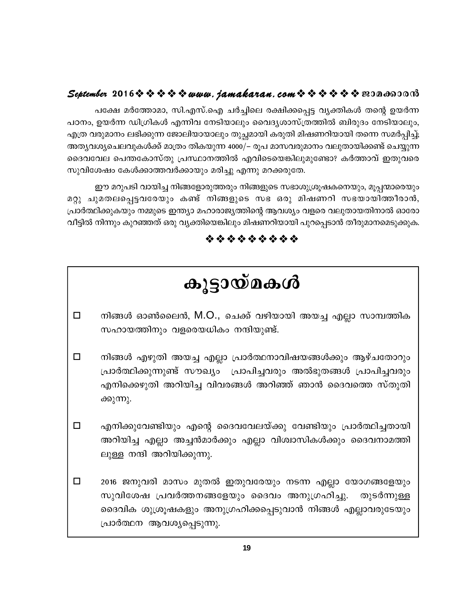പക്ഷേ മർത്തോമാ, സി.എസ്.ഐ ചർച്ചിലെ രക്ഷിക്കപ്പെട്ട വ്യക്തികൾ തന്റെ ഉയർന്ന പഠനം, ഉയർന്ന ഡിഗ്രികൾ എന്നിവ നേടിയാലും വൈദൃശാസ്ത്രത്തിൽ ബിരുദം നേടിയാലും, എത്ര വരുമാനം ലഭിക്കുന്ന ജോലിയായാലും തുച്ഛമായി കരുതി മിഷണറിയായി തന്നെ സമർപ്പിച്ച്; അത്യവശ്യചെലവുകൾക്ക് മാത്രം തികയുന്ന 4000/– രൂപ മാസവരുമാനം വലുതായിക്കണ്ട് ചെയ്യുന്ന ദൈവവേല പെന്തകോസ്തു പ്രസ്ഥാനത്തിൽ എവിടെയെങ്കിലുമുണ്ടോ? കർത്താവ് ഇതുവരെ സുവിശേഷം കേൾക്കാത്തവർക്കായും മരിച്ചു എന്നു മറക്കരുതേ.

ഈ മറുപടി വായിച്ച നിങ്ങളോരുത്തരും നിങ്ങളുടെ സഭാശുശ്രൂഷകനെയും, മൂപ്പന്മാരെയും മറ്റു ചുമതലപ്പെട്ടവരേയും കണ്ട് നിങ്ങളുടെ സഭ ഒരു മിഷണറി സഭയായിത്തീരാൻ, പ്രാർത്ഥിക്കുകയും നമ്മുടെ ഇന്ത്യാ മഹാരാജ്യത്തിന്റെ ആവശ്യം വളരെ വലുതായതിനാൽ ഓരോ വീട്ടിൽ നിന്നും കുറഞ്ഞത് ഒരു വ്യക്തിയെങ്കിലും മിഷണറിയായി പുറപ്പെടാൻ തീരുമാനമെടുക്കുക.

\* \* \* \* \* \* \* \* \*

# കൂട്ടായ്മകൾ

- നിങ്ങൾ ഓൺലൈൻ, M.O., ചെക്ക് വഴിയായി അയച്ച എല്ലാ സാമ്പത്തിക  $\Box$ സഹായത്തിനും വളരെയധികം നന്ദിയുണ്ട്.
- $\Box$ നിങ്ങൾ എഴുതി അയച്ച എല്ലാ പ്രാർത്ഥനാവിഷയങ്ങൾക്കും ആഴ്ചതോറും പ്രാർത്ഥിക്കുന്നുണ്ട് സൗഖ്യം പ്രാപിച്ചവരും അൽഭുതങ്ങൾ പ്രാപിച്ചവരും എനിക്കെഴുതി അറിയിച്ച വിവരങ്ങൾ അറിഞ്ഞ് ഞാൻ ദൈവത്തെ സ്തുതി ക്കുന്നു.
- $\Box$ എനിക്കുവേണ്ടിയും എന്റെ ദൈവവേലയ്ക്കു വേണ്ടിയും പ്രാർത്ഥിച്ചതായി അറിയിച്ച എല്ലാ അച്ചൻമാർക്കും എല്ലാ വിശ്വാസികൾക്കും ദൈവനാമത്തി ലുള്ള നന്ദി അറിയിക്കുന്നു.
- $\Box$ 2016 ജനുവരി മാസം മുതൽ ഇതുവരേയും നടന്ന എല്ലാ യോഗങ്ങളേയും സുവിശേഷ പ്രവർത്തനങ്ങളേയും ദൈവം അനുഗ്രഹിച്ചു. തുടർന്നുള്ള ദൈവിക ശുശ്രൂഷകളും അനുഗ്രഹിക്കപ്പെടുവാൻ നിങ്ങൾ എല്ലാവരുടേയും പ്രാർത്ഥന ആവശ്യപ്പെടുന്നു.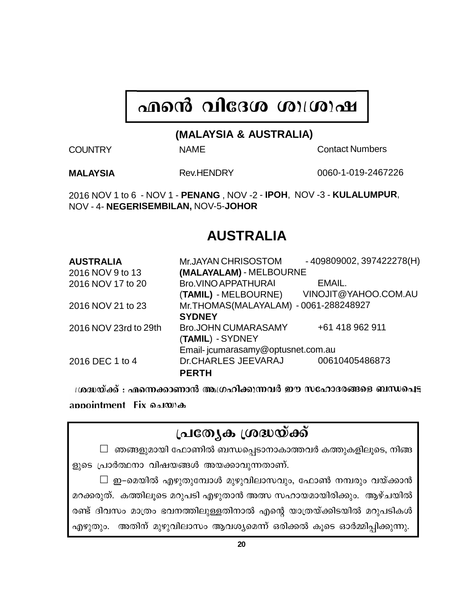# **എന്റെ വിദേശ ശൂത്രപ്പ**

## **(MALAYSIA & AUSTRALIA)**

COUNTRY NAME Contact Numbers

**MALAYSIA** Rev.HENDRY 0060-1-019-2467226

2016 NOV 1 to 6 - NOV 1 - **PENANG** , NOV -2 - **IPOH**, NOV -3 - **KULALUMPUR**, NOV - 4- **NEGERISEMBILAN,** NOV-5-**JOHOR**

# **AUSTRALIA**

| <b>AUSTRALIA</b>      | Mr.JAYAN CHRISOSTOM                   | $-409809002, 397422278(H)$ |  |
|-----------------------|---------------------------------------|----------------------------|--|
| 2016 NOV 9 to 13      | (MALAYALAM) - MELBOURNE               |                            |  |
| 2016 NOV 17 to 20     | Bro.VINO APPATHURAI                   | EMAIL.                     |  |
|                       | (TAMIL) - MELBOURNE)                  | VINOJIT@YAHOO.COM.AU       |  |
| 2016 NOV 21 to 23     | Mr.THOMAS(MALAYALAM) - 0061-288248927 |                            |  |
|                       | <b>SYDNEY</b>                         |                            |  |
| 2016 NOV 23rd to 29th | <b>Bro.JOHN CUMARASAMY</b>            | +61 418 962 911            |  |
|                       | (TAMIL) - SYDNEY                      |                            |  |
|                       | Email-jcumarasamy@optusnet.com.au     |                            |  |
| 2016 DEC 1 to 4       | Dr.CHARLES JEEVARAJ 00610405486873    |                            |  |
|                       | <b>PERTH</b>                          |                            |  |
|                       |                                       |                            |  |

ശ്രദ്ധയ്ക്ക് : എന്നെക്കാണാൻ ആഗ്രഹിക്കുന്നവർ ഈ സഹോദരങ്ങളെ ബന്ധപ്പെട്ട

appointment Fix வலங

# (പത്യേക ശ്രദ്ധയ്ക്ക്

 $\Box$  ഞങ്ങളുമായി ഫോണിൽ ബന്ധപ്പെടാനാകാത്തവർ കത്തുകളിലൂടെ, നിങ്ങ ളുടെ പ്രാർത്ഥനാ വിഷയങ്ങൾ അയക്കാവുന്നതാണ്.

 $\Box$  ഇ–മെയിൽ എഴുതുമ്പോൾ മുഴുവിലാസവും, ഫോൺ നമ്പരും വയ്ക്കാൻ മറക്കരുത്. കത്തിലൂടെ മറുപടി എഴുതാൻ അത്സ സഹായമായിരിക്കും. ആഴ്ചയിൽ രണ്ട് ദിവസം മാത്രം ഭവനത്തിലുള്ളതിനാൽ എന്റെ യാത്രയ്ക്കിടയിൽ മറുപടികൾ എഴുതും. അതിന് മുഴുവിലാസം ആവശ്യമെന്ന് ഒരിക്കൽ കൂടെ ഓർമ്മിപ്പിക്കുന്നു.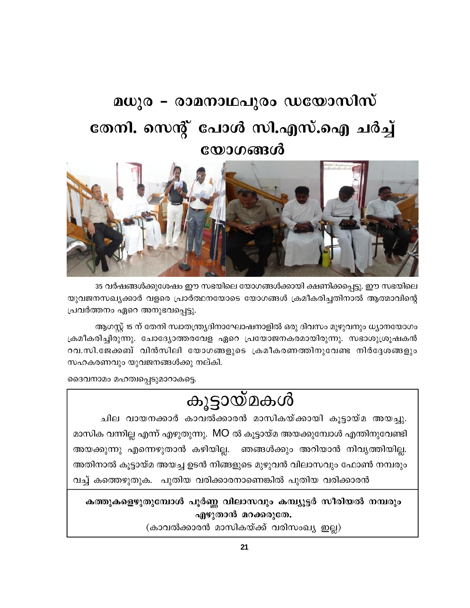# മധുര – രാമനാഥപുരം ഡയോസിസ് തേനി. സെന്റ് പോൾ സി.എസ്.ഐ ചർച്ച് യോഗങ്ങൾ



35 വർഷങ്ങൾക്കുശേഷം ഈ സഭയിലെ യോഗങ്ങൾക്കായി ക്ഷണിക്കപ്പെട്ടു. ഈ സഭയിലെ യുവജനസഖ്യക്കാർ വളരെ പ്രാർത്ഥനയോടെ യോഗങ്ങൾ ക്രമീകരിച്ചതിനാൽ ആത്മാവിന്റെ പ്രവർത്തനം ഏറെ അനുഭവപ്പെട്ടു.

ആഗസ്റ്റ് 15 ന് തേനി സ്വാതന്ത്ര്യദിനാഘോഷനാളിൽ ഒരു ദിവസം മുഴുവനും ധ്യാനയോഗം ക്രമീകരിച്ചിരുന്നു. ചോദ്യോത്തരവേള ഏറെ പ്രയോജനകരമായിരുന്നു. സഭാശുശ്രൂഷകൻ റവ.സി.ജേക്കബ് വിൻസിലി യോഗങ്ങളുടെ ക്രമീകരണത്തിനുവേണ്ട നിർദ്ദേശങ്ങളും സഹകരണവും യുവജനങ്ങൾക്കു നല്കി.

ദൈവനാമം മഹത്വപ്പെടുമാറാകട്ടെ.

# കൂട്ടായ്മകൾ

ചില വായനക്കാർ കാവൽക്കാരൻ മാസികയ്ക്കായി കുട്ടായ്മ അയച്ചു. മാസിക വന്നില്ല എന്ന് എഴുതുന്നു. MO ൽ കൂട്ടായ്മ അയക്കുമ്പോൾ എന്തിനുവേണ്ടി അയക്കുന്നു എന്നെഴുതാൻ കഴിയില്ല. ഞങ്ങൾക്കും അറിയാൻ നിവൃത്തിയില്ല. അതിനാൽ കൂട്ടായ്മ അയച്ച ഉടൻ നിങ്ങളുടെ മുഴുവൻ വിലാസവും ഫോൺ നമ്പരും വച്ച് കത്തെഴുതുക. പുതിയ വരിക്കാരനാണെങ്കിൽ പുതിയ വരിക്കാരൻ

കത്തുകളെഴുതുമ്പോൾ പൂർണ്ണ വിലാസവും കമ്പ്യൂട്ടർ സീരിയൽ നമ്പരും എഴുതാൻ മറക്കരുതേ.

(കാവൽക്കാരൻ മാസികയ്ക്ക് വരിസംഖ്യ ഇല്ല)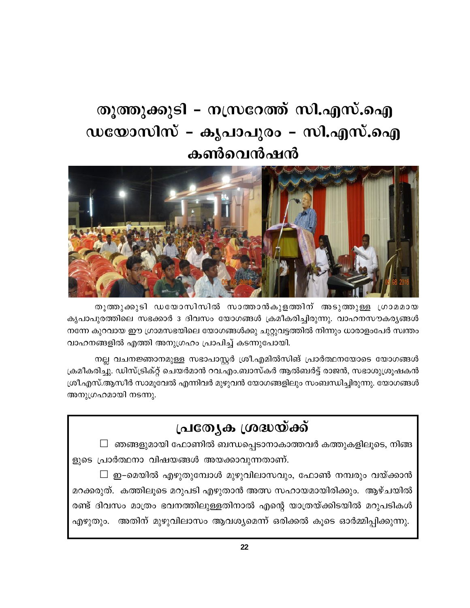# തൂത്തുക്കുടി – നസ്രറേത്ത് സി.എസ്.ഐ ഡയോസിസ് – കൃപാപുരം – സി.എസ്.ഐ കൺവെൻഷൻ



തൂത്തുക്കുടി ഡയോസിസിൽ സാത്താൻകുളത്തിന് അടുത്തുള്ള ശ്രാമമായ കൃപാപുരത്തിലെ സഭക്കാർ 3 ദിവസം യോഗങ്ങൾ ക്രമീകരിച്ചിരുന്നു. വാഹനസൗകര്യങ്ങൾ നന്നേ കുറവായ ഈ ഗ്രാമസഭയിലെ യോഗങ്ങൾക്കു ചുറ്റുവട്ടത്തിൽ നിന്നും ധാരാളംപേർ സ്വന്തം വാഹനങ്ങളിൽ എത്തി അനുഗ്രഹം പ്രാപിച്ച് കടന്നുപോയി.

നല്ല വചനജ്ഞാനമുള്ള സഭാപാസ്റ്റർ ശ്രീ.എമിൽസിങ് പ്രാർത്ഥനയോടെ യോഗങ്ങൾ ക്രമീകരിച്ചു. ഡിസ്ട്രിക്റ്റ് ചെയർമാൻ റവ.എം.ബാസ്കർ ആൽബർട്ട് രാജൻ, സഭാശുശ്രൂഷകൻ ശ്രീ.എസ്.ആസീർ സാമൂവേൽ എന്നിവർ മുഴുവൻ യോഗങ്ങളിലും സംബന്ധിച്ചിരുന്നു. യോഗങ്ങൾ അനുഗ്രഹമായി നടന്നു.

| പ്രത്യേക ശ്രദ്ധയ്ക്ക്                              |
|----------------------------------------------------|
| $\Box$ ഞങ്ങളുമായി ഫോണിൽ ബന്ധപ്പെടാനാകാത്തവർ കത്തുക |

ളിലൂടെ, നിങ്ങ

|  | ളുടെ പ്രാർത്ഥനാ വിഷയങ്ങൾ അയക്കാവുന്നതാണ്. |
|--|-------------------------------------------|
|  |                                           |

 $\Box$  ഇ–മെയിൽ എഴുതുമ്പോൾ മുഴുവിലാസവും, ഫോൺ നമ്പരും വയ്ക്കാൻ മറക്കരുത്. കത്തിലൂടെ മറുപടി എഴുതാൻ അത്സ സഹായമായിരിക്കും. ആഴ്ചയിൽ രണ്ട് ദിവസം മാത്രം ഭവനത്തിലുള്ളതിനാൽ എന്റെ യാത്രയ്ക്കിടയിൽ മറുപടികൾ എഴുതും. അതിന് മുഴുവിലാസം ആവശ്യമെന്ന് ഒരിക്കൽ കൂടെ ഓർമ്മിപ്പിക്കുന്നു.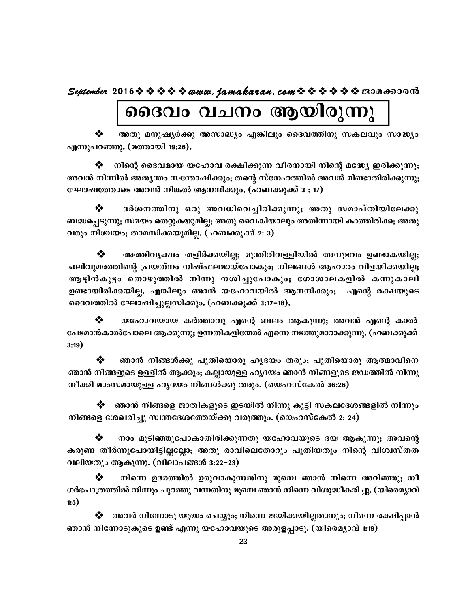# ദൈവം വചനം ആയിരുന്നു

അതു മനുഷ്യർക്കു അസാദ്ധ്യം എങ്കിലും ദൈവത്തിനു സകലവും സാദ്ധ്യം എന്നുപറഞ്ഞു. (മത്തായി 19:26).

 $\boldsymbol{\hat{\mathbf{\hat{v}}}}$  നിന്റെ ദൈവമായ യഹോവ രക്ഷിക്കുന്ന വീരനായി നിന്റെ മദ്ധ്യേ ഇരിക്കുന്നു; അവൻ നിന്നിൽ അതൃന്തം സന്തോഷിക്കും; തന്റെ സ്നേഹത്തിൽ അവൻ മിണ്ടാതിരിക്കുന്നു; ഘോഷത്തോടെ അവൻ നിങ്കൽ ആനന്ദിക്കും. (ഹബക്കുക്ക് 3 : 17)

ദർശനത്തിനു ഒരു അവധിവെച്ചിരിക്കുന്നു; അതു സമാപ്തിയിലേക്കു ബദ്ധപെടുന്നു; സമയം തെറ്റുകയുമില്ല; അതു വൈകിയാലും അതിന്നായി കാത്തിരിക്ക; അതു വരും നിശ്ചയം; താമസിക്കയുമില്ല. (ഹബക്കുക്ക് 2: 3)

അത്തിവൃക്ഷം തളിർക്കയില്ല; മുന്തിരിവള്ളിയിൽ അനുഭവം ഉണ്ടാകയില്ല; ഒലിവുമരത്തിന്റെ പ്രയത്നം നിഷ്ഫലമായ്പോകും; നിലങ്ങൾ ആഹാരം വിളയിക്കയില്ല; ആട്ടിൻകൂട്ടം തൊഴുത്തിൽ നിന്നു നശിച്ചുപോകും; ഗോശാലകളിൽ കന്നുകാലി ഉണ്ടായിരിക്കയില്ല. എങ്കിലും ഞാൻ യഹോവയിൽ ആനന്ദിക്കും; എന്റെ രക്ഷയുടെ ദൈവത്തിൽ ഘോഷിച്ചുല്ലസിക്കും. (ഹബക്കൂക്ക് 3:17−18).

യഹോവയായ കർത്താവു എന്റെ ബലം ആകുന്നു; അവൻ എന്റെ കാൽ പേടമാൻകാൽപോലെ ആക്കുന്നു; ഉന്നതികളിന്മേൽ എന്നെ നടത്തുമാറാക്കുന്നു. (ഹബക്കൂക്ക്  $3:19)$ 

ഞാൻ നിങ്ങൾക്കു പുതിയൊരു ഹൃദയം തരും; പുതിയൊരു ആത്മാവിനെ ഞാൻ നിങ്ങളുടെ ഉള്ളിൽ ആക്കും; കല്ലായുള്ള ഹൃദയം ഞാൻ നിങ്ങളുടെ ജഡത്തിൽ നിന്നു നീക്കി മാംസമായുള്ള ഹൃദയം നിങ്ങൾക്കു തരും. (യെഹസ്കേൽ 36:26)

ഞാൻ നിങ്ങളെ ജാതികളുടെ ഇടയിൽ നിന്നു കുട്ടി സകലദേശങ്ങളിൽ നിന്നും നിങ്ങളെ ശേഖരിച്ചു സ്വന്തദേശത്തേയ്ക്കു വരുത്തും. (യെഹസ്കേൽ 2: 24)

നാം മുടിഞ്ഞുപോകാതിരിക്കുന്നതു യഹോവയുടെ ദയ ആകുന്നു; അവന്റെ കരുണ തീർന്നുപോയിട്ടില്ലല്ലോ; അതു രാവിലെതോറും പുതിയതും നിന്റെ വിശ്വസ്തത വലിയതും ആകുന്നു. (വിലാപങ്ങൾ 3:22-23)

❖ നിന്നെ ഉദരത്തിൽ ഉരുവാകുന്നതിനു മുമ്പെ ഞാൻ നിന്നെ അറിഞ്ഞു; നീ ഗർഭപാത്രത്തിൽ നിന്നും പുറത്തു വന്നതിനു മുമ്പെ ഞാൻ നിന്നെ വിശുദ്ധീകരിച്ചു. (യിരെമ്യാവ് 1:5)

 $\boldsymbol{\hat{\mathbf{v}}}$  - അവർ നിന്നോടു യുദ്ധം ചെയ്യും; നിന്നെ ജയിക്കയില്ലതാനും; നിന്നെ രക്ഷിപ്പാൻ ഞാൻ നിന്നോടുകുടെ ഉണ്ട് എന്നു യഹോവയുടെ അരുളപ്പാടു. (യിരെമൃാവ് 1:19)